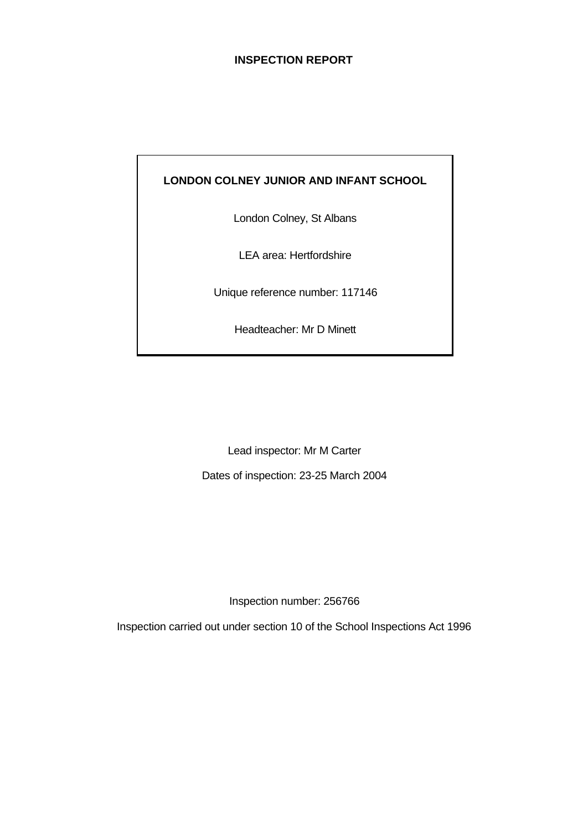# **INSPECTION REPORT**

# **LONDON COLNEY JUNIOR AND INFANT SCHOOL**

London Colney, St Albans

LEA area: Hertfordshire

Unique reference number: 117146

Headteacher: Mr D Minett

Lead inspector: Mr M Carter

Dates of inspection: 23-25 March 2004

Inspection number: 256766

Inspection carried out under section 10 of the School Inspections Act 1996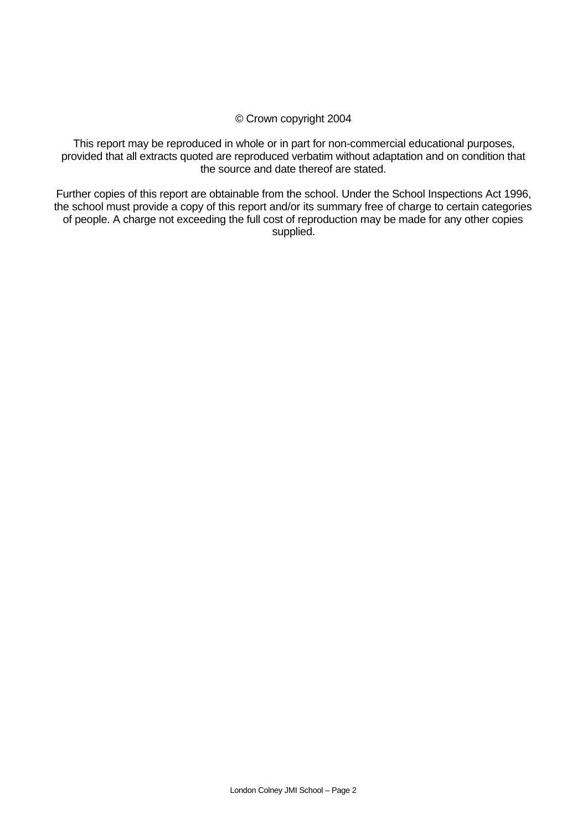# © Crown copyright 2004

This report may be reproduced in whole or in part for non-commercial educational purposes, provided that all extracts quoted are reproduced verbatim without adaptation and on condition that the source and date thereof are stated.

Further copies of this report are obtainable from the school. Under the School Inspections Act 1996, the school must provide a copy of this report and/or its summary free of charge to certain categories of people. A charge not exceeding the full cost of reproduction may be made for any other copies supplied.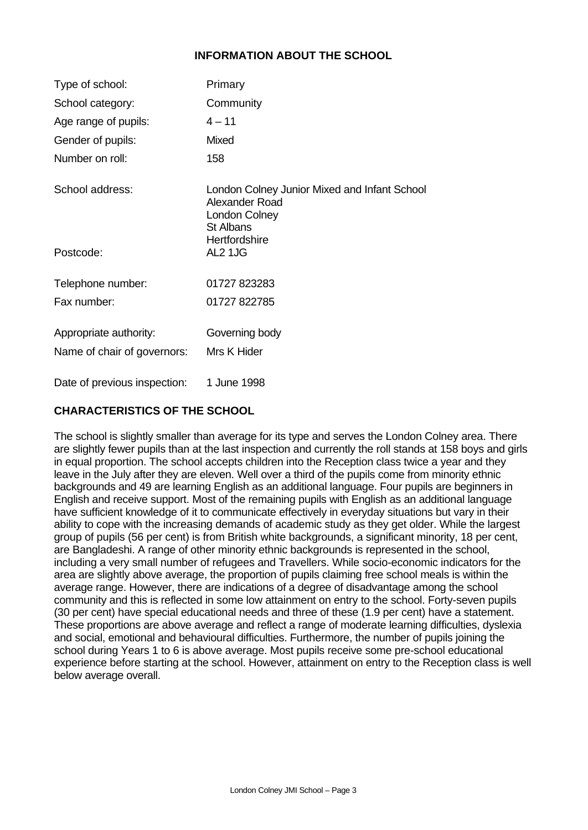# **INFORMATION ABOUT THE SCHOOL**

| Type of school:             | Primary                                                                                             |
|-----------------------------|-----------------------------------------------------------------------------------------------------|
| School category:            | Community                                                                                           |
| Age range of pupils:        | $4 - 11$                                                                                            |
| Gender of pupils:           | Mixed                                                                                               |
| Number on roll:             | 158                                                                                                 |
| School address:             | London Colney Junior Mixed and Infant School<br>Alexander Road<br>London Colney<br><b>St Albans</b> |
| Postcode:                   | Hertfordshire<br>AL2 1JG                                                                            |
| Telephone number:           | 01727 823283                                                                                        |
| Fax number:                 | 01727 822785                                                                                        |
| Appropriate authority:      | Governing body                                                                                      |
| Name of chair of governors: | Mrs K Hider                                                                                         |
|                             |                                                                                                     |

Date of previous inspection: 1 June 1998

# **CHARACTERISTICS OF THE SCHOOL**

The school is slightly smaller than average for its type and serves the London Colney area. There are slightly fewer pupils than at the last inspection and currently the roll stands at 158 boys and girls in equal proportion. The school accepts children into the Reception class twice a year and they leave in the July after they are eleven. Well over a third of the pupils come from minority ethnic backgrounds and 49 are learning English as an additional language. Four pupils are beginners in English and receive support. Most of the remaining pupils with English as an additional language have sufficient knowledge of it to communicate effectively in everyday situations but vary in their ability to cope with the increasing demands of academic study as they get older. While the largest group of pupils (56 per cent) is from British white backgrounds, a significant minority, 18 per cent, are Bangladeshi. A range of other minority ethnic backgrounds is represented in the school, including a very small number of refugees and Travellers. While socio-economic indicators for the area are slightly above average, the proportion of pupils claiming free school meals is within the average range. However, there are indications of a degree of disadvantage among the school community and this is reflected in some low attainment on entry to the school. Forty-seven pupils (30 per cent) have special educational needs and three of these (1.9 per cent) have a statement. These proportions are above average and reflect a range of moderate learning difficulties, dyslexia and social, emotional and behavioural difficulties. Furthermore, the number of pupils joining the school during Years 1 to 6 is above average. Most pupils receive some pre-school educational experience before starting at the school. However, attainment on entry to the Reception class is well below average overall.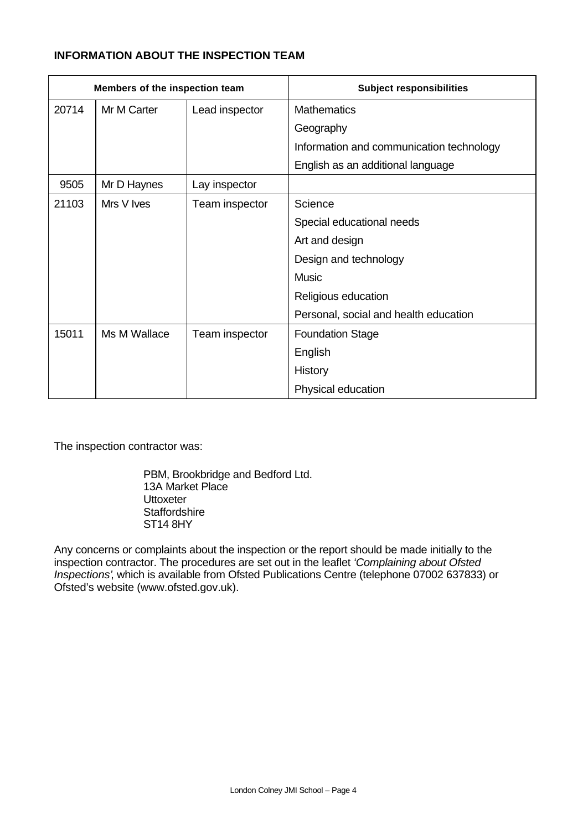# **INFORMATION ABOUT THE INSPECTION TEAM**

| Members of the inspection team |              |                | <b>Subject responsibilities</b>          |  |
|--------------------------------|--------------|----------------|------------------------------------------|--|
| 20714                          | Mr M Carter  | Lead inspector | <b>Mathematics</b>                       |  |
|                                |              |                | Geography                                |  |
|                                |              |                | Information and communication technology |  |
|                                |              |                | English as an additional language        |  |
| 9505                           | Mr D Haynes  | Lay inspector  |                                          |  |
| 21103                          | Mrs V Ives   | Team inspector | Science                                  |  |
|                                |              |                | Special educational needs                |  |
|                                |              |                | Art and design                           |  |
|                                |              |                | Design and technology                    |  |
|                                |              |                | <b>Music</b>                             |  |
|                                |              |                | Religious education                      |  |
|                                |              |                | Personal, social and health education    |  |
| 15011                          | Ms M Wallace | Team inspector | <b>Foundation Stage</b>                  |  |
|                                |              |                | English                                  |  |
|                                |              |                | History                                  |  |
|                                |              |                | Physical education                       |  |

The inspection contractor was:

PBM, Brookbridge and Bedford Ltd. 13A Market Place **Uttoxeter Staffordshire** ST14 8HY

Any concerns or complaints about the inspection or the report should be made initially to the inspection contractor. The procedures are set out in the leaflet *'Complaining about Ofsted Inspections'*, which is available from Ofsted Publications Centre (telephone 07002 637833) or Ofsted's website (www.ofsted.gov.uk).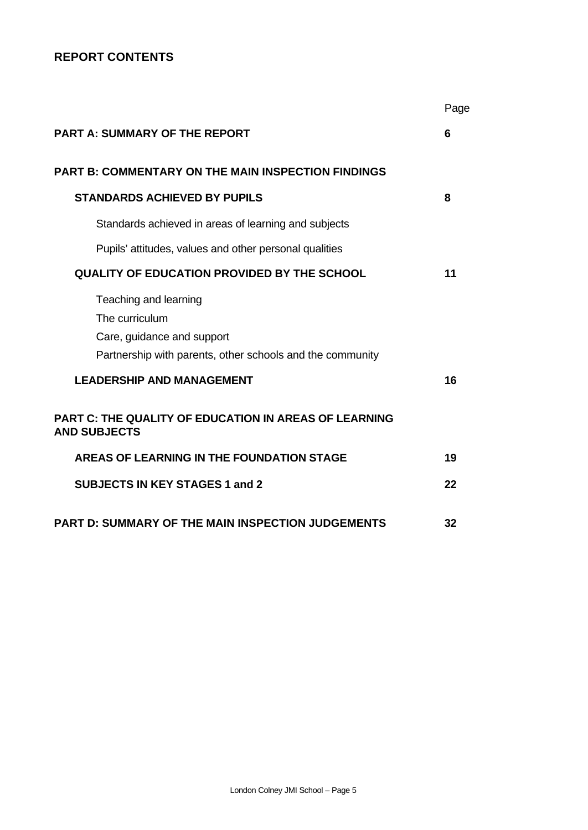# **REPORT CONTENTS**

|                                                                                     | Page |
|-------------------------------------------------------------------------------------|------|
| <b>PART A: SUMMARY OF THE REPORT</b>                                                | 6    |
| <b>PART B: COMMENTARY ON THE MAIN INSPECTION FINDINGS</b>                           |      |
| <b>STANDARDS ACHIEVED BY PUPILS</b>                                                 | 8    |
| Standards achieved in areas of learning and subjects                                |      |
| Pupils' attitudes, values and other personal qualities                              |      |
| <b>QUALITY OF EDUCATION PROVIDED BY THE SCHOOL</b>                                  | 11   |
| Teaching and learning<br>The curriculum<br>Care, guidance and support               |      |
| Partnership with parents, other schools and the community                           |      |
| <b>LEADERSHIP AND MANAGEMENT</b>                                                    | 16   |
| <b>PART C: THE QUALITY OF EDUCATION IN AREAS OF LEARNING</b><br><b>AND SUBJECTS</b> |      |
| <b>AREAS OF LEARNING IN THE FOUNDATION STAGE</b>                                    | 19   |
| <b>SUBJECTS IN KEY STAGES 1 and 2</b>                                               | 22   |
| <b>PART D: SUMMARY OF THE MAIN INSPECTION JUDGEMENTS</b>                            | 32   |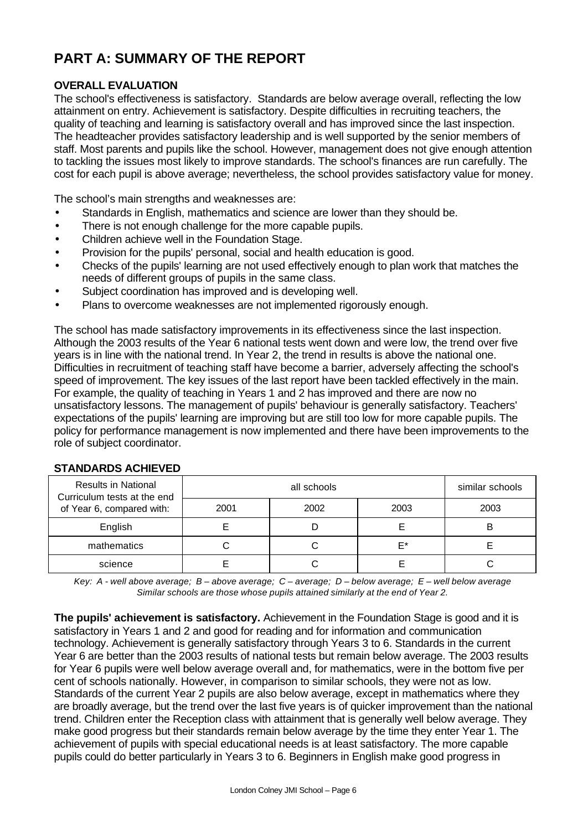# **PART A: SUMMARY OF THE REPORT**

# **OVERALL EVALUATION**

The school's effectiveness is satisfactory. Standards are below average overall, reflecting the low attainment on entry. Achievement is satisfactory. Despite difficulties in recruiting teachers, the quality of teaching and learning is satisfactory overall and has improved since the last inspection. The headteacher provides satisfactory leadership and is well supported by the senior members of staff. Most parents and pupils like the school. However, management does not give enough attention to tackling the issues most likely to improve standards. The school's finances are run carefully. The cost for each pupil is above average; nevertheless, the school provides satisfactory value for money.

The school's main strengths and weaknesses are:

- Standards in English, mathematics and science are lower than they should be.
- There is not enough challenge for the more capable pupils.
- Children achieve well in the Foundation Stage.
- Provision for the pupils' personal, social and health education is good.
- Checks of the pupils' learning are not used effectively enough to plan work that matches the needs of different groups of pupils in the same class.
- Subject coordination has improved and is developing well.
- Plans to overcome weaknesses are not implemented rigorously enough.

The school has made satisfactory improvements in its effectiveness since the last inspection. Although the 2003 results of the Year 6 national tests went down and were low, the trend over five years is in line with the national trend. In Year 2, the trend in results is above the national one. Difficulties in recruitment of teaching staff have become a barrier, adversely affecting the school's speed of improvement. The key issues of the last report have been tackled effectively in the main. For example, the quality of teaching in Years 1 and 2 has improved and there are now no unsatisfactory lessons. The management of pupils' behaviour is generally satisfactory. Teachers' expectations of the pupils' learning are improving but are still too low for more capable pupils. The policy for performance management is now implemented and there have been improvements to the role of subject coordinator.

| <b>Results in National</b><br>Curriculum tests at the end |      | similar schools |      |      |
|-----------------------------------------------------------|------|-----------------|------|------|
| of Year 6, compared with:                                 | 2001 | 2002            | 2003 | 2003 |
| English                                                   |      |                 |      |      |
| mathematics                                               |      |                 | F*   |      |
| science                                                   |      |                 |      |      |

# **STANDARDS ACHIEVED**

*Key: A - well above average; B – above average; C – average; D – below average; E – well below average Similar schools are those whose pupils attained similarly at the end of Year 2.*

**The pupils' achievement is satisfactory.** Achievement in the Foundation Stage is good and it is satisfactory in Years 1 and 2 and good for reading and for information and communication technology. Achievement is generally satisfactory through Years 3 to 6. Standards in the current Year 6 are better than the 2003 results of national tests but remain below average. The 2003 results for Year 6 pupils were well below average overall and, for mathematics, were in the bottom five per cent of schools nationally. However, in comparison to similar schools, they were not as low. Standards of the current Year 2 pupils are also below average, except in mathematics where they are broadly average, but the trend over the last five years is of quicker improvement than the national trend. Children enter the Reception class with attainment that is generally well below average. They make good progress but their standards remain below average by the time they enter Year 1. The achievement of pupils with special educational needs is at least satisfactory. The more capable pupils could do better particularly in Years 3 to 6. Beginners in English make good progress in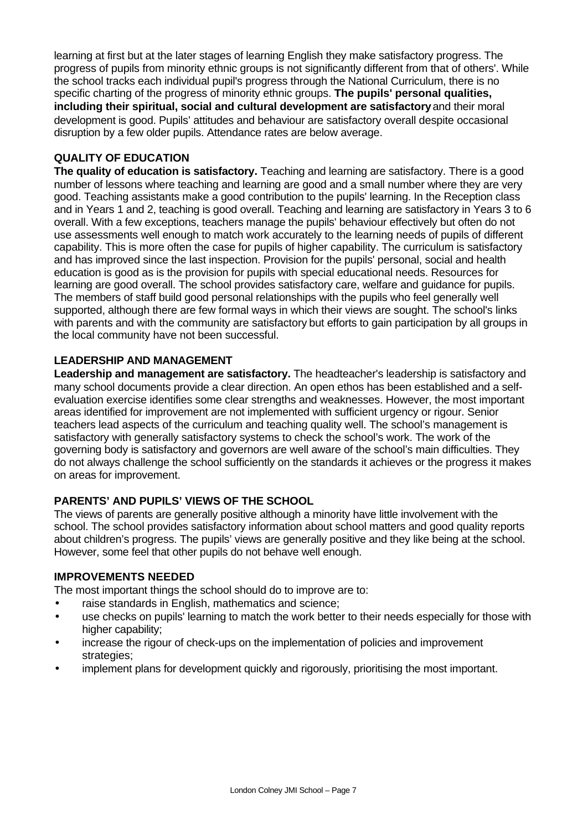learning at first but at the later stages of learning English they make satisfactory progress. The progress of pupils from minority ethnic groups is not significantly different from that of others'. While the school tracks each individual pupil's progress through the National Curriculum, there is no specific charting of the progress of minority ethnic groups. **The pupils' personal qualities, including their spiritual, social and cultural development are satisfactory** and their moral development is good. Pupils' attitudes and behaviour are satisfactory overall despite occasional disruption by a few older pupils. Attendance rates are below average.

# **QUALITY OF EDUCATION**

**The quality of education is satisfactory.** Teaching and learning are satisfactory. There is a good number of lessons where teaching and learning are good and a small number where they are very good. Teaching assistants make a good contribution to the pupils' learning. In the Reception class and in Years 1 and 2, teaching is good overall. Teaching and learning are satisfactory in Years 3 to 6 overall. With a few exceptions, teachers manage the pupils' behaviour effectively but often do not use assessments well enough to match work accurately to the learning needs of pupils of different capability. This is more often the case for pupils of higher capability. The curriculum is satisfactory and has improved since the last inspection. Provision for the pupils' personal, social and health education is good as is the provision for pupils with special educational needs. Resources for learning are good overall. The school provides satisfactory care, welfare and guidance for pupils. The members of staff build good personal relationships with the pupils who feel generally well supported, although there are few formal ways in which their views are sought. The school's links with parents and with the community are satisfactory but efforts to gain participation by all groups in the local community have not been successful.

# **LEADERSHIP AND MANAGEMENT**

Leadership and management are satisfactory. The headteacher's leadership is satisfactory and many school documents provide a clear direction. An open ethos has been established and a selfevaluation exercise identifies some clear strengths and weaknesses. However, the most important areas identified for improvement are not implemented with sufficient urgency or rigour. Senior teachers lead aspects of the curriculum and teaching quality well. The school's management is satisfactory with generally satisfactory systems to check the school's work. The work of the governing body is satisfactory and governors are well aware of the school's main difficulties. They do not always challenge the school sufficiently on the standards it achieves or the progress it makes on areas for improvement.

# **PARENTS' AND PUPILS' VIEWS OF THE SCHOOL**

The views of parents are generally positive although a minority have little involvement with the school. The school provides satisfactory information about school matters and good quality reports about children's progress. The pupils' views are generally positive and they like being at the school. However, some feel that other pupils do not behave well enough.

# **IMPROVEMENTS NEEDED**

The most important things the school should do to improve are to:

- raise standards in English, mathematics and science;
- use checks on pupils' learning to match the work better to their needs especially for those with higher capability;
- increase the rigour of check-ups on the implementation of policies and improvement strategies:
- implement plans for development quickly and rigorously, prioritising the most important.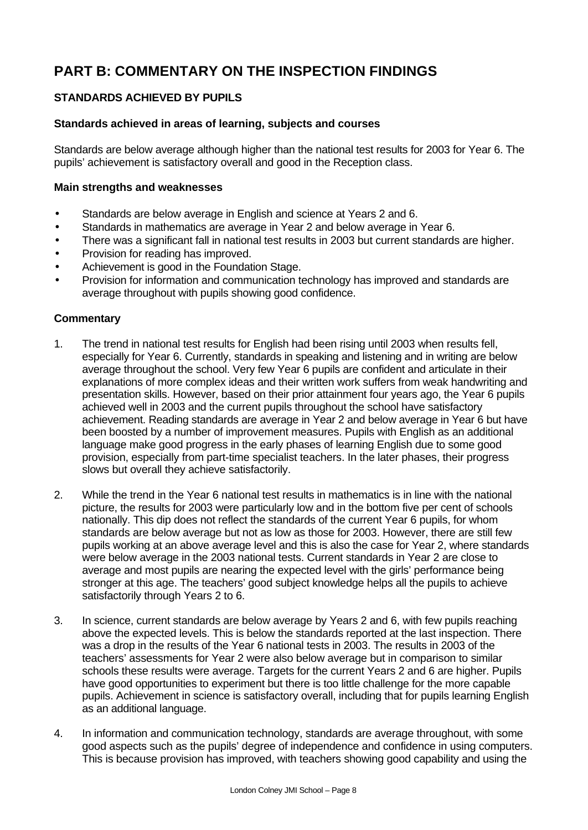# **PART B: COMMENTARY ON THE INSPECTION FINDINGS**

# **STANDARDS ACHIEVED BY PUPILS**

# **Standards achieved in areas of learning, subjects and courses**

Standards are below average although higher than the national test results for 2003 for Year 6. The pupils' achievement is satisfactory overall and good in the Reception class.

#### **Main strengths and weaknesses**

- Standards are below average in English and science at Years 2 and 6.
- Standards in mathematics are average in Year 2 and below average in Year 6.
- There was a significant fall in national test results in 2003 but current standards are higher.
- Provision for reading has improved.
- Achievement is good in the Foundation Stage.
- Provision for information and communication technology has improved and standards are average throughout with pupils showing good confidence.

- 1. The trend in national test results for English had been rising until 2003 when results fell, especially for Year 6. Currently, standards in speaking and listening and in writing are below average throughout the school. Very few Year 6 pupils are confident and articulate in their explanations of more complex ideas and their written work suffers from weak handwriting and presentation skills. However, based on their prior attainment four years ago, the Year 6 pupils achieved well in 2003 and the current pupils throughout the school have satisfactory achievement. Reading standards are average in Year 2 and below average in Year 6 but have been boosted by a number of improvement measures. Pupils with English as an additional language make good progress in the early phases of learning English due to some good provision, especially from part-time specialist teachers. In the later phases, their progress slows but overall they achieve satisfactorily.
- 2. While the trend in the Year 6 national test results in mathematics is in line with the national picture, the results for 2003 were particularly low and in the bottom five per cent of schools nationally. This dip does not reflect the standards of the current Year 6 pupils, for whom standards are below average but not as low as those for 2003. However, there are still few pupils working at an above average level and this is also the case for Year 2, where standards were below average in the 2003 national tests. Current standards in Year 2 are close to average and most pupils are nearing the expected level with the girls' performance being stronger at this age. The teachers' good subject knowledge helps all the pupils to achieve satisfactorily through Years 2 to 6.
- 3. In science, current standards are below average by Years 2 and 6, with few pupils reaching above the expected levels. This is below the standards reported at the last inspection. There was a drop in the results of the Year 6 national tests in 2003. The results in 2003 of the teachers' assessments for Year 2 were also below average but in comparison to similar schools these results were average. Targets for the current Years 2 and 6 are higher. Pupils have good opportunities to experiment but there is too little challenge for the more capable pupils. Achievement in science is satisfactory overall, including that for pupils learning English as an additional language.
- 4. In information and communication technology, standards are average throughout, with some good aspects such as the pupils' degree of independence and confidence in using computers. This is because provision has improved, with teachers showing good capability and using the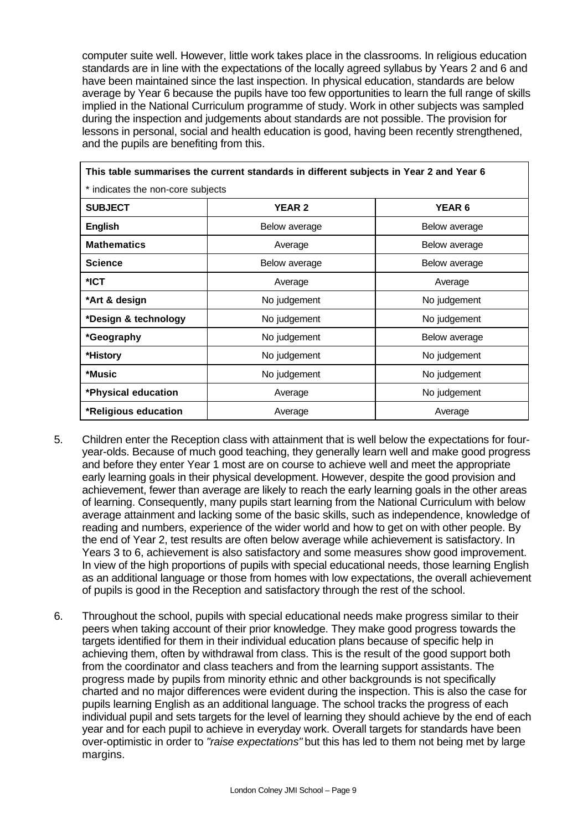computer suite well. However, little work takes place in the classrooms. In religious education standards are in line with the expectations of the locally agreed syllabus by Years 2 and 6 and have been maintained since the last inspection. In physical education, standards are below average by Year 6 because the pupils have too few opportunities to learn the full range of skills implied in the National Curriculum programme of study. Work in other subjects was sampled during the inspection and judgements about standards are not possible. The provision for lessons in personal, social and health education is good, having been recently strengthened, and the pupils are benefiting from this.

┑

| This table summarises the current standards in different subjects in Year 2 and Year 6 |                              |               |  |  |  |  |  |
|----------------------------------------------------------------------------------------|------------------------------|---------------|--|--|--|--|--|
| * indicates the non-core subjects                                                      |                              |               |  |  |  |  |  |
| <b>SUBJECT</b><br><b>YEAR 2</b><br>YEAR <sub>6</sub>                                   |                              |               |  |  |  |  |  |
| <b>English</b>                                                                         | Below average                | Below average |  |  |  |  |  |
| <b>Mathematics</b>                                                                     | Average                      | Below average |  |  |  |  |  |
| <b>Science</b>                                                                         | Below average                | Below average |  |  |  |  |  |
| $*$ ICT                                                                                | Average                      | Average       |  |  |  |  |  |
| *Art & design                                                                          | No judgement                 | No judgement  |  |  |  |  |  |
| *Design & technology<br>No judgement<br>No judgement                                   |                              |               |  |  |  |  |  |
| *Geography<br>No judgement<br>Below average                                            |                              |               |  |  |  |  |  |
| *History                                                                               | No judgement<br>No judgement |               |  |  |  |  |  |
| *Music                                                                                 | No judgement<br>No judgement |               |  |  |  |  |  |
| *Physical education                                                                    | No judgement<br>Average      |               |  |  |  |  |  |
| *Religious education                                                                   | Average<br>Average           |               |  |  |  |  |  |

- 5. Children enter the Reception class with attainment that is well below the expectations for fouryear-olds. Because of much good teaching, they generally learn well and make good progress and before they enter Year 1 most are on course to achieve well and meet the appropriate early learning goals in their physical development. However, despite the good provision and achievement, fewer than average are likely to reach the early learning goals in the other areas of learning. Consequently, many pupils start learning from the National Curriculum with below average attainment and lacking some of the basic skills, such as independence, knowledge of reading and numbers, experience of the wider world and how to get on with other people. By the end of Year 2, test results are often below average while achievement is satisfactory. In Years 3 to 6, achievement is also satisfactory and some measures show good improvement. In view of the high proportions of pupils with special educational needs, those learning English as an additional language or those from homes with low expectations, the overall achievement of pupils is good in the Reception and satisfactory through the rest of the school.
- 6. Throughout the school, pupils with special educational needs make progress similar to their peers when taking account of their prior knowledge. They make good progress towards the targets identified for them in their individual education plans because of specific help in achieving them, often by withdrawal from class. This is the result of the good support both from the coordinator and class teachers and from the learning support assistants. The progress made by pupils from minority ethnic and other backgrounds is not specifically charted and no major differences were evident during the inspection. This is also the case for pupils learning English as an additional language. The school tracks the progress of each individual pupil and sets targets for the level of learning they should achieve by the end of each year and for each pupil to achieve in everyday work. Overall targets for standards have been over-optimistic in order to *"raise expectations"* but this has led to them not being met by large margins.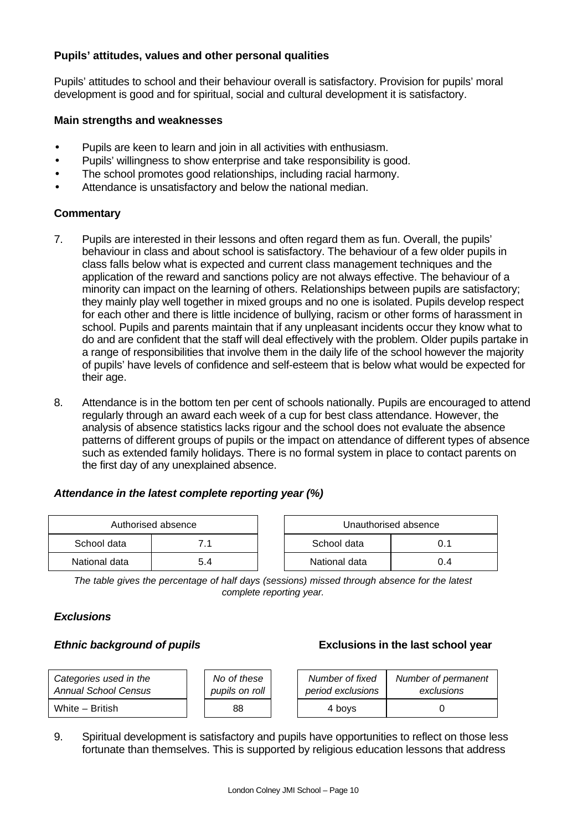# **Pupils' attitudes, values and other personal qualities**

Pupils' attitudes to school and their behaviour overall is satisfactory. Provision for pupils' moral development is good and for spiritual, social and cultural development it is satisfactory.

# **Main strengths and weaknesses**

- Pupils are keen to learn and join in all activities with enthusiasm.
- Pupils' willingness to show enterprise and take responsibility is good.
- The school promotes good relationships, including racial harmony.
- Attendance is unsatisfactory and below the national median.

# **Commentary**

- 7. Pupils are interested in their lessons and often regard them as fun. Overall, the pupils' behaviour in class and about school is satisfactory. The behaviour of a few older pupils in class falls below what is expected and current class management techniques and the application of the reward and sanctions policy are not always effective. The behaviour of a minority can impact on the learning of others. Relationships between pupils are satisfactory; they mainly play well together in mixed groups and no one is isolated. Pupils develop respect for each other and there is little incidence of bullying, racism or other forms of harassment in school. Pupils and parents maintain that if any unpleasant incidents occur they know what to do and are confident that the staff will deal effectively with the problem. Older pupils partake in a range of responsibilities that involve them in the daily life of the school however the majority of pupils' have levels of confidence and self-esteem that is below what would be expected for their age.
- 8. Attendance is in the bottom ten per cent of schools nationally. Pupils are encouraged to attend regularly through an award each week of a cup for best class attendance. However, the analysis of absence statistics lacks rigour and the school does not evaluate the absence patterns of different groups of pupils or the impact on attendance of different types of absence such as extended family holidays. There is no formal system in place to contact parents on the first day of any unexplained absence.

# *Attendance in the latest complete reporting year (%)*

| Authorised absence |     |  |                    | Unauthorised absence |
|--------------------|-----|--|--------------------|----------------------|
| School data        | 71  |  | School data<br>0.1 |                      |
| National data      | 5.4 |  | National data      | 0.4                  |

*The table gives the percentage of half days (sessions) missed through absence for the latest complete reporting year.*

# *Exclusions*

# *Ethnic background of pupils* **Exclusions in the last school year**

| Categories used in the      | No of these    | Number of fixed   | Number of permanent |
|-----------------------------|----------------|-------------------|---------------------|
| <b>Annual School Census</b> | pupils on roll | period exclusions | exclusions          |
| White - British             | 88             | 4 bovs            |                     |

9. Spiritual development is satisfactory and pupils have opportunities to reflect on those less fortunate than themselves. This is supported by religious education lessons that address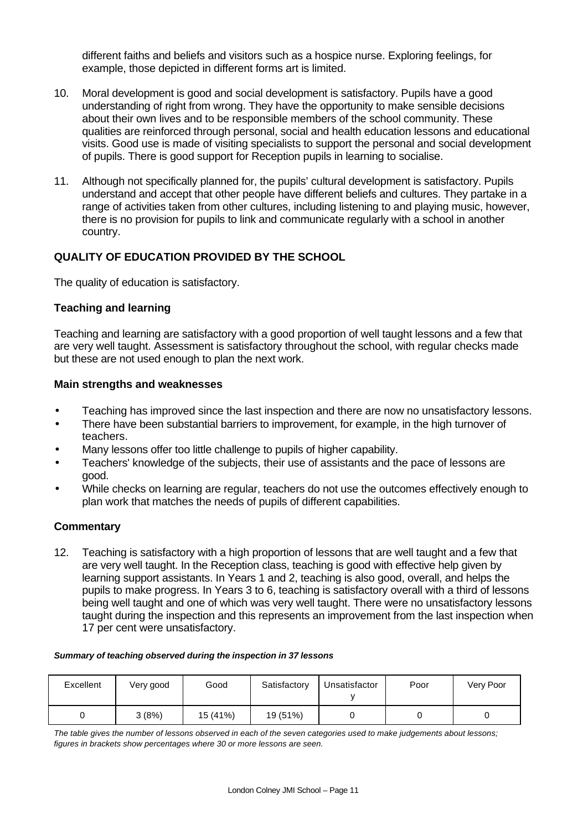different faiths and beliefs and visitors such as a hospice nurse. Exploring feelings, for example, those depicted in different forms art is limited.

- 10. Moral development is good and social development is satisfactory. Pupils have a good understanding of right from wrong. They have the opportunity to make sensible decisions about their own lives and to be responsible members of the school community. These qualities are reinforced through personal, social and health education lessons and educational visits. Good use is made of visiting specialists to support the personal and social development of pupils. There is good support for Reception pupils in learning to socialise.
- 11. Although not specifically planned for, the pupils' cultural development is satisfactory. Pupils understand and accept that other people have different beliefs and cultures. They partake in a range of activities taken from other cultures, including listening to and playing music, however, there is no provision for pupils to link and communicate regularly with a school in another country.

# **QUALITY OF EDUCATION PROVIDED BY THE SCHOOL**

The quality of education is satisfactory.

# **Teaching and learning**

Teaching and learning are satisfactory with a good proportion of well taught lessons and a few that are very well taught. Assessment is satisfactory throughout the school, with regular checks made but these are not used enough to plan the next work.

#### **Main strengths and weaknesses**

- Teaching has improved since the last inspection and there are now no unsatisfactory lessons.
- There have been substantial barriers to improvement, for example, in the high turnover of teachers.
- Many lessons offer too little challenge to pupils of higher capability.
- Teachers' knowledge of the subjects, their use of assistants and the pace of lessons are good.
- While checks on learning are regular, teachers do not use the outcomes effectively enough to plan work that matches the needs of pupils of different capabilities.

#### **Commentary**

12. Teaching is satisfactory with a high proportion of lessons that are well taught and a few that are very well taught. In the Reception class, teaching is good with effective help given by learning support assistants. In Years 1 and 2, teaching is also good, overall, and helps the pupils to make progress. In Years 3 to 6, teaching is satisfactory overall with a third of lessons being well taught and one of which was very well taught. There were no unsatisfactory lessons taught during the inspection and this represents an improvement from the last inspection when 17 per cent were unsatisfactory.

| Excellent | Very good | Good     | Satisfactory | Unsatisfactor | Poor | Very Poor |
|-----------|-----------|----------|--------------|---------------|------|-----------|
|           | 3(8%)     | 15 (41%) | 19 (51%)     |               |      |           |

*The table gives the number of lessons observed in each of the seven categories used to make judgements about lessons; figures in brackets show percentages where 30 or more lessons are seen.*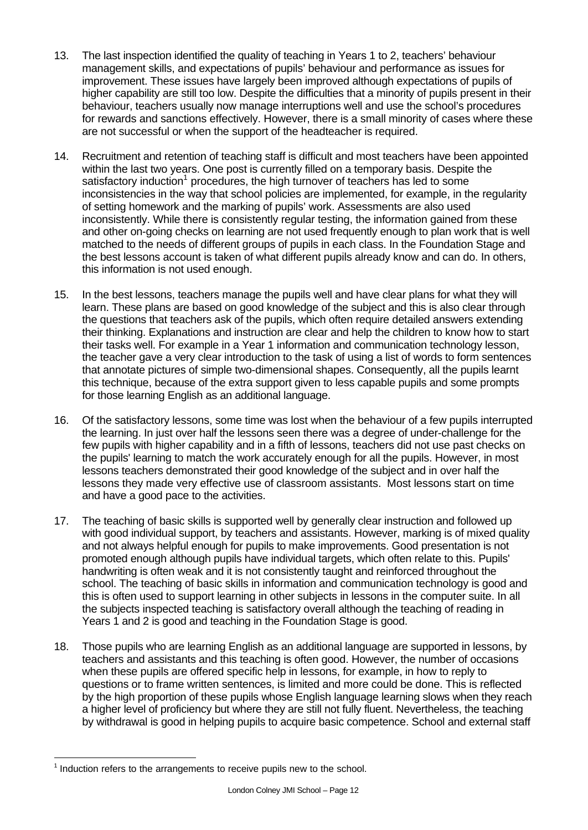- 13. The last inspection identified the quality of teaching in Years 1 to 2, teachers' behaviour management skills, and expectations of pupils' behaviour and performance as issues for improvement. These issues have largely been improved although expectations of pupils of higher capability are still too low. Despite the difficulties that a minority of pupils present in their behaviour, teachers usually now manage interruptions well and use the school's procedures for rewards and sanctions effectively. However, there is a small minority of cases where these are not successful or when the support of the headteacher is required.
- 14. Recruitment and retention of teaching staff is difficult and most teachers have been appointed within the last two years. One post is currently filled on a temporary basis. Despite the satisfactory induction<sup>1</sup> procedures, the high turnover of teachers has led to some inconsistencies in the way that school policies are implemented, for example, in the regularity of setting homework and the marking of pupils' work. Assessments are also used inconsistently. While there is consistently regular testing, the information gained from these and other on-going checks on learning are not used frequently enough to plan work that is well matched to the needs of different groups of pupils in each class. In the Foundation Stage and the best lessons account is taken of what different pupils already know and can do. In others, this information is not used enough.
- 15. In the best lessons, teachers manage the pupils well and have clear plans for what they will learn. These plans are based on good knowledge of the subject and this is also clear through the questions that teachers ask of the pupils, which often require detailed answers extending their thinking. Explanations and instruction are clear and help the children to know how to start their tasks well. For example in a Year 1 information and communication technology lesson, the teacher gave a very clear introduction to the task of using a list of words to form sentences that annotate pictures of simple two-dimensional shapes. Consequently, all the pupils learnt this technique, because of the extra support given to less capable pupils and some prompts for those learning English as an additional language.
- 16. Of the satisfactory lessons, some time was lost when the behaviour of a few pupils interrupted the learning. In just over half the lessons seen there was a degree of under-challenge for the few pupils with higher capability and in a fifth of lessons, teachers did not use past checks on the pupils' learning to match the work accurately enough for all the pupils. However, in most lessons teachers demonstrated their good knowledge of the subject and in over half the lessons they made very effective use of classroom assistants. Most lessons start on time and have a good pace to the activities.
- 17. The teaching of basic skills is supported well by generally clear instruction and followed up with good individual support, by teachers and assistants. However, marking is of mixed quality and not always helpful enough for pupils to make improvements. Good presentation is not promoted enough although pupils have individual targets, which often relate to this. Pupils' handwriting is often weak and it is not consistently taught and reinforced throughout the school. The teaching of basic skills in information and communication technology is good and this is often used to support learning in other subjects in lessons in the computer suite. In all the subjects inspected teaching is satisfactory overall although the teaching of reading in Years 1 and 2 is good and teaching in the Foundation Stage is good.
- 18. Those pupils who are learning English as an additional language are supported in lessons, by teachers and assistants and this teaching is often good. However, the number of occasions when these pupils are offered specific help in lessons, for example, in how to reply to questions or to frame written sentences, is limited and more could be done. This is reflected by the high proportion of these pupils whose English language learning slows when they reach a higher level of proficiency but where they are still not fully fluent. Nevertheless, the teaching by withdrawal is good in helping pupils to acquire basic competence. School and external staff

l  $<sup>1</sup>$  Induction refers to the arrangements to receive pupils new to the school.</sup>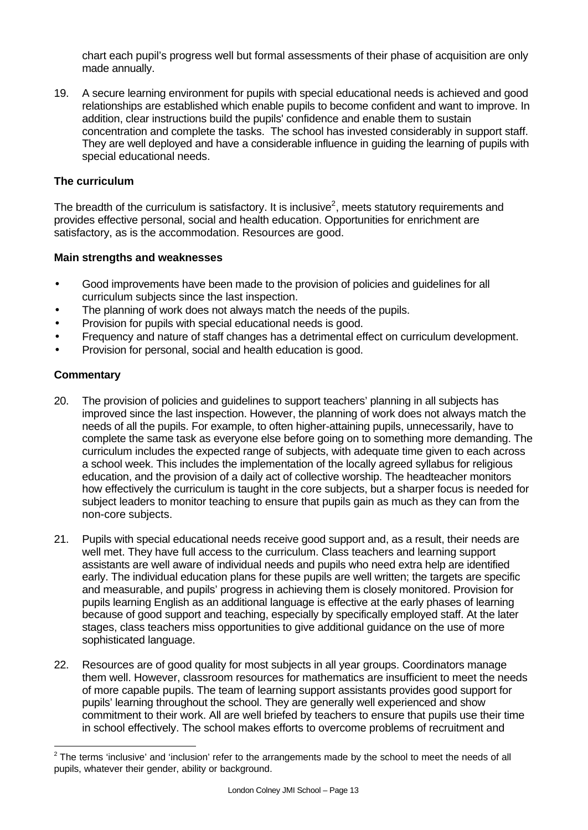chart each pupil's progress well but formal assessments of their phase of acquisition are only made annually.

19. A secure learning environment for pupils with special educational needs is achieved and good relationships are established which enable pupils to become confident and want to improve. In addition, clear instructions build the pupils' confidence and enable them to sustain concentration and complete the tasks. The school has invested considerably in support staff. They are well deployed and have a considerable influence in guiding the learning of pupils with special educational needs.

#### **The curriculum**

The breadth of the curriculum is satisfactory. It is inclusive<sup>2</sup>, meets statutory requirements and provides effective personal, social and health education. Opportunities for enrichment are satisfactory, as is the accommodation. Resources are good.

#### **Main strengths and weaknesses**

- Good improvements have been made to the provision of policies and guidelines for all curriculum subjects since the last inspection.
- The planning of work does not always match the needs of the pupils.
- Provision for pupils with special educational needs is good.
- Frequency and nature of staff changes has a detrimental effect on curriculum development.
- Provision for personal, social and health education is good.

# **Commentary**

l

- 20. The provision of policies and guidelines to support teachers' planning in all subjects has improved since the last inspection. However, the planning of work does not always match the needs of all the pupils. For example, to often higher-attaining pupils, unnecessarily, have to complete the same task as everyone else before going on to something more demanding. The curriculum includes the expected range of subjects, with adequate time given to each across a school week. This includes the implementation of the locally agreed syllabus for religious education, and the provision of a daily act of collective worship. The headteacher monitors how effectively the curriculum is taught in the core subjects, but a sharper focus is needed for subject leaders to monitor teaching to ensure that pupils gain as much as they can from the non-core subjects.
- 21. Pupils with special educational needs receive good support and, as a result, their needs are well met. They have full access to the curriculum. Class teachers and learning support assistants are well aware of individual needs and pupils who need extra help are identified early. The individual education plans for these pupils are well written; the targets are specific and measurable, and pupils' progress in achieving them is closely monitored. Provision for pupils learning English as an additional language is effective at the early phases of learning because of good support and teaching, especially by specifically employed staff. At the later stages, class teachers miss opportunities to give additional guidance on the use of more sophisticated language.
- 22. Resources are of good quality for most subjects in all year groups. Coordinators manage them well. However, classroom resources for mathematics are insufficient to meet the needs of more capable pupils. The team of learning support assistants provides good support for pupils' learning throughout the school. They are generally well experienced and show commitment to their work. All are well briefed by teachers to ensure that pupils use their time in school effectively. The school makes efforts to overcome problems of recruitment and

 $2$  The terms 'inclusive' and 'inclusion' refer to the arrangements made by the school to meet the needs of all pupils, whatever their gender, ability or background.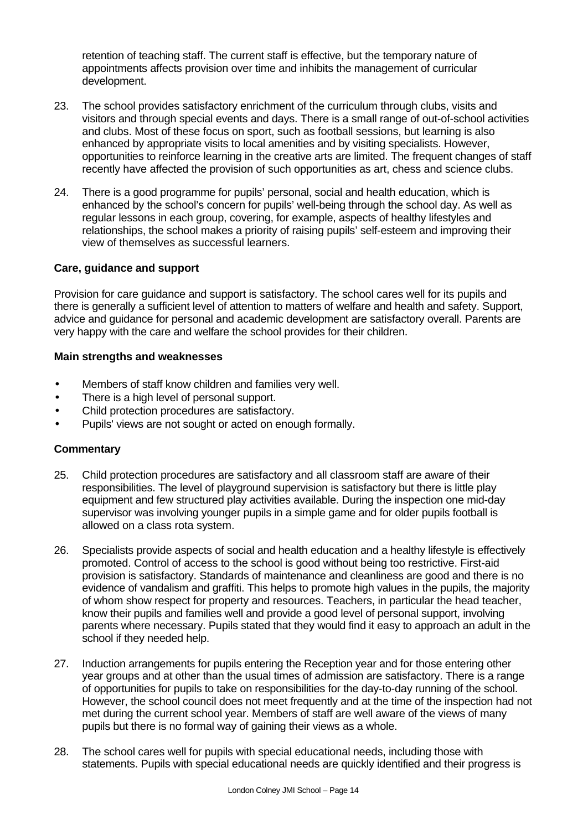retention of teaching staff. The current staff is effective, but the temporary nature of appointments affects provision over time and inhibits the management of curricular development.

- 23. The school provides satisfactory enrichment of the curriculum through clubs, visits and visitors and through special events and days. There is a small range of out-of-school activities and clubs. Most of these focus on sport, such as football sessions, but learning is also enhanced by appropriate visits to local amenities and by visiting specialists. However, opportunities to reinforce learning in the creative arts are limited. The frequent changes of staff recently have affected the provision of such opportunities as art, chess and science clubs.
- 24. There is a good programme for pupils' personal, social and health education, which is enhanced by the school's concern for pupils' well-being through the school day. As well as regular lessons in each group, covering, for example, aspects of healthy lifestyles and relationships, the school makes a priority of raising pupils' self-esteem and improving their view of themselves as successful learners.

# **Care, guidance and support**

Provision for care guidance and support is satisfactory. The school cares well for its pupils and there is generally a sufficient level of attention to matters of welfare and health and safety. Support, advice and guidance for personal and academic development are satisfactory overall. Parents are very happy with the care and welfare the school provides for their children.

#### **Main strengths and weaknesses**

- Members of staff know children and families very well.
- There is a high level of personal support.
- Child protection procedures are satisfactory.
- Pupils' views are not sought or acted on enough formally.

- 25. Child protection procedures are satisfactory and all classroom staff are aware of their responsibilities. The level of playground supervision is satisfactory but there is little play equipment and few structured play activities available. During the inspection one mid-day supervisor was involving younger pupils in a simple game and for older pupils football is allowed on a class rota system.
- 26. Specialists provide aspects of social and health education and a healthy lifestyle is effectively promoted. Control of access to the school is good without being too restrictive. First-aid provision is satisfactory. Standards of maintenance and cleanliness are good and there is no evidence of vandalism and graffiti. This helps to promote high values in the pupils, the majority of whom show respect for property and resources. Teachers, in particular the head teacher, know their pupils and families well and provide a good level of personal support, involving parents where necessary. Pupils stated that they would find it easy to approach an adult in the school if they needed help.
- 27. Induction arrangements for pupils entering the Reception year and for those entering other year groups and at other than the usual times of admission are satisfactory. There is a range of opportunities for pupils to take on responsibilities for the day-to-day running of the school. However, the school council does not meet frequently and at the time of the inspection had not met during the current school year. Members of staff are well aware of the views of many pupils but there is no formal way of gaining their views as a whole.
- 28. The school cares well for pupils with special educational needs, including those with statements. Pupils with special educational needs are quickly identified and their progress is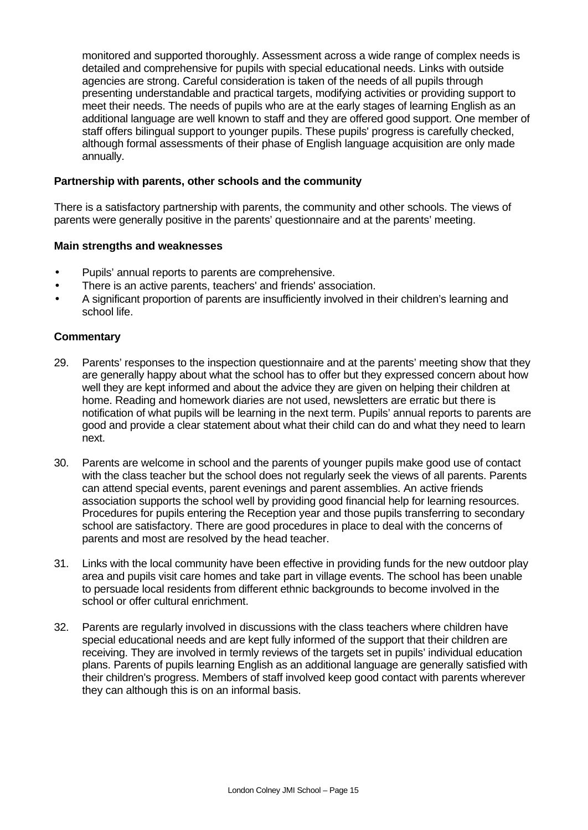monitored and supported thoroughly. Assessment across a wide range of complex needs is detailed and comprehensive for pupils with special educational needs. Links with outside agencies are strong. Careful consideration is taken of the needs of all pupils through presenting understandable and practical targets, modifying activities or providing support to meet their needs. The needs of pupils who are at the early stages of learning English as an additional language are well known to staff and they are offered good support. One member of staff offers bilingual support to younger pupils. These pupils' progress is carefully checked, although formal assessments of their phase of English language acquisition are only made annually.

#### **Partnership with parents, other schools and the community**

There is a satisfactory partnership with parents, the community and other schools. The views of parents were generally positive in the parents' questionnaire and at the parents' meeting.

#### **Main strengths and weaknesses**

- Pupils' annual reports to parents are comprehensive.
- There is an active parents, teachers' and friends' association.
- A significant proportion of parents are insufficiently involved in their children's learning and school life.

- 29. Parents' responses to the inspection questionnaire and at the parents' meeting show that they are generally happy about what the school has to offer but they expressed concern about how well they are kept informed and about the advice they are given on helping their children at home. Reading and homework diaries are not used, newsletters are erratic but there is notification of what pupils will be learning in the next term. Pupils' annual reports to parents are good and provide a clear statement about what their child can do and what they need to learn next.
- 30. Parents are welcome in school and the parents of younger pupils make good use of contact with the class teacher but the school does not regularly seek the views of all parents. Parents can attend special events, parent evenings and parent assemblies. An active friends association supports the school well by providing good financial help for learning resources. Procedures for pupils entering the Reception year and those pupils transferring to secondary school are satisfactory. There are good procedures in place to deal with the concerns of parents and most are resolved by the head teacher.
- 31. Links with the local community have been effective in providing funds for the new outdoor play area and pupils visit care homes and take part in village events. The school has been unable to persuade local residents from different ethnic backgrounds to become involved in the school or offer cultural enrichment.
- 32. Parents are regularly involved in discussions with the class teachers where children have special educational needs and are kept fully informed of the support that their children are receiving. They are involved in termly reviews of the targets set in pupils' individual education plans. Parents of pupils learning English as an additional language are generally satisfied with their children's progress. Members of staff involved keep good contact with parents wherever they can although this is on an informal basis.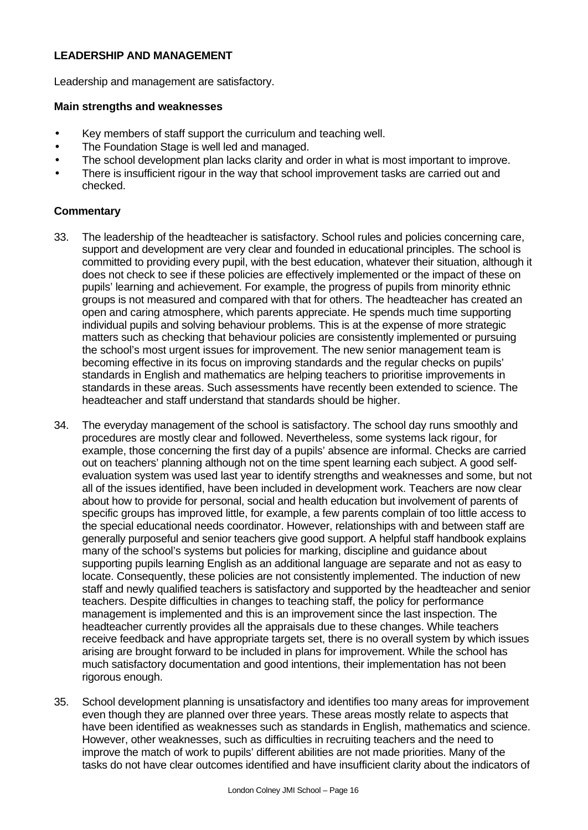# **LEADERSHIP AND MANAGEMENT**

Leadership and management are satisfactory.

# **Main strengths and weaknesses**

- Key members of staff support the curriculum and teaching well.
- The Foundation Stage is well led and managed.
- The school development plan lacks clarity and order in what is most important to improve.
- There is insufficient rigour in the way that school improvement tasks are carried out and checked.

- 33. The leadership of the headteacher is satisfactory. School rules and policies concerning care, support and development are very clear and founded in educational principles. The school is committed to providing every pupil, with the best education, whatever their situation, although it does not check to see if these policies are effectively implemented or the impact of these on pupils' learning and achievement. For example, the progress of pupils from minority ethnic groups is not measured and compared with that for others. The headteacher has created an open and caring atmosphere, which parents appreciate. He spends much time supporting individual pupils and solving behaviour problems. This is at the expense of more strategic matters such as checking that behaviour policies are consistently implemented or pursuing the school's most urgent issues for improvement. The new senior management team is becoming effective in its focus on improving standards and the regular checks on pupils' standards in English and mathematics are helping teachers to prioritise improvements in standards in these areas. Such assessments have recently been extended to science. The headteacher and staff understand that standards should be higher.
- 34. The everyday management of the school is satisfactory. The school day runs smoothly and procedures are mostly clear and followed. Nevertheless, some systems lack rigour, for example, those concerning the first day of a pupils' absence are informal. Checks are carried out on teachers' planning although not on the time spent learning each subject. A good selfevaluation system was used last year to identify strengths and weaknesses and some, but not all of the issues identified, have been included in development work. Teachers are now clear about how to provide for personal, social and health education but involvement of parents of specific groups has improved little, for example, a few parents complain of too little access to the special educational needs coordinator. However, relationships with and between staff are generally purposeful and senior teachers give good support. A helpful staff handbook explains many of the school's systems but policies for marking, discipline and guidance about supporting pupils learning English as an additional language are separate and not as easy to locate. Consequently, these policies are not consistently implemented. The induction of new staff and newly qualified teachers is satisfactory and supported by the headteacher and senior teachers. Despite difficulties in changes to teaching staff, the policy for performance management is implemented and this is an improvement since the last inspection. The headteacher currently provides all the appraisals due to these changes. While teachers receive feedback and have appropriate targets set, there is no overall system by which issues arising are brought forward to be included in plans for improvement. While the school has much satisfactory documentation and good intentions, their implementation has not been rigorous enough.
- 35. School development planning is unsatisfactory and identifies too many areas for improvement even though they are planned over three years. These areas mostly relate to aspects that have been identified as weaknesses such as standards in English, mathematics and science. However, other weaknesses, such as difficulties in recruiting teachers and the need to improve the match of work to pupils' different abilities are not made priorities. Many of the tasks do not have clear outcomes identified and have insufficient clarity about the indicators of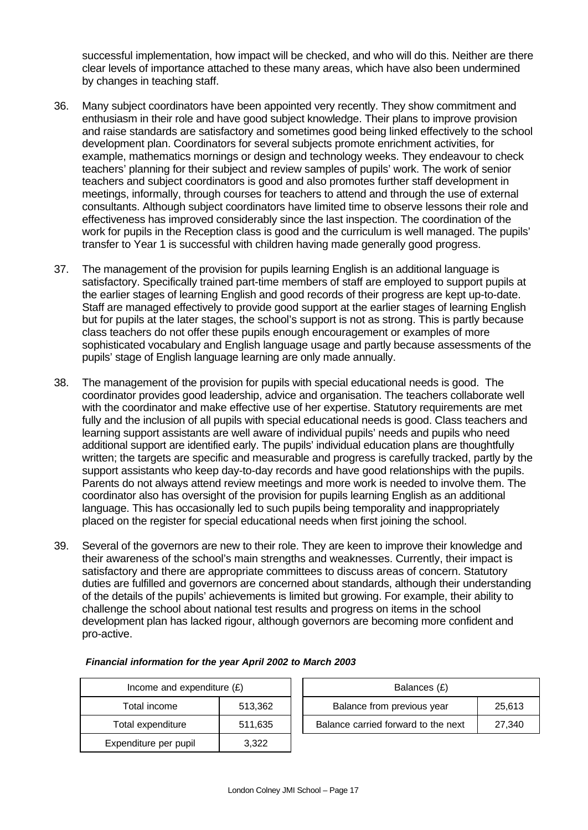successful implementation, how impact will be checked, and who will do this. Neither are there clear levels of importance attached to these many areas, which have also been undermined by changes in teaching staff.

- 36. Many subject coordinators have been appointed very recently. They show commitment and enthusiasm in their role and have good subject knowledge. Their plans to improve provision and raise standards are satisfactory and sometimes good being linked effectively to the school development plan. Coordinators for several subjects promote enrichment activities, for example, mathematics mornings or design and technology weeks. They endeavour to check teachers' planning for their subject and review samples of pupils' work. The work of senior teachers and subject coordinators is good and also promotes further staff development in meetings, informally, through courses for teachers to attend and through the use of external consultants. Although subject coordinators have limited time to observe lessons their role and effectiveness has improved considerably since the last inspection. The coordination of the work for pupils in the Reception class is good and the curriculum is well managed. The pupils' transfer to Year 1 is successful with children having made generally good progress.
- 37. The management of the provision for pupils learning English is an additional language is satisfactory. Specifically trained part-time members of staff are employed to support pupils at the earlier stages of learning English and good records of their progress are kept up-to-date. Staff are managed effectively to provide good support at the earlier stages of learning English but for pupils at the later stages, the school's support is not as strong. This is partly because class teachers do not offer these pupils enough encouragement or examples of more sophisticated vocabulary and English language usage and partly because assessments of the pupils' stage of English language learning are only made annually.
- 38. The management of the provision for pupils with special educational needs is good. The coordinator provides good leadership, advice and organisation. The teachers collaborate well with the coordinator and make effective use of her expertise. Statutory requirements are met fully and the inclusion of all pupils with special educational needs is good. Class teachers and learning support assistants are well aware of individual pupils' needs and pupils who need additional support are identified early. The pupils' individual education plans are thoughtfully written; the targets are specific and measurable and progress is carefully tracked, partly by the support assistants who keep day-to-day records and have good relationships with the pupils. Parents do not always attend review meetings and more work is needed to involve them. The coordinator also has oversight of the provision for pupils learning English as an additional language. This has occasionally led to such pupils being temporality and inappropriately placed on the register for special educational needs when first joining the school.
- 39. Several of the governors are new to their role. They are keen to improve their knowledge and their awareness of the school's main strengths and weaknesses. Currently, their impact is satisfactory and there are appropriate committees to discuss areas of concern. Statutory duties are fulfilled and governors are concerned about standards, although their understanding of the details of the pupils' achievements is limited but growing. For example, their ability to challenge the school about national test results and progress on items in the school development plan has lacked rigour, although governors are becoming more confident and pro-active.

| Income and expenditure $(E)$ |         |  | Balances (£)                   |
|------------------------------|---------|--|--------------------------------|
| Total income                 | 513,362 |  | Balance from previous year     |
| Total expenditure            | 511,635 |  | Balance carried forward to the |
| Expenditure per pupil        | 3,322   |  |                                |

| Income and expenditure $(E)$ |         | Balances (£)                        |        |
|------------------------------|---------|-------------------------------------|--------|
| Total income                 | 513.362 | Balance from previous year          | 25.613 |
| Total expenditure            | 511.635 | Balance carried forward to the next | 27.340 |

#### *Financial information for the year April 2002 to March 2003*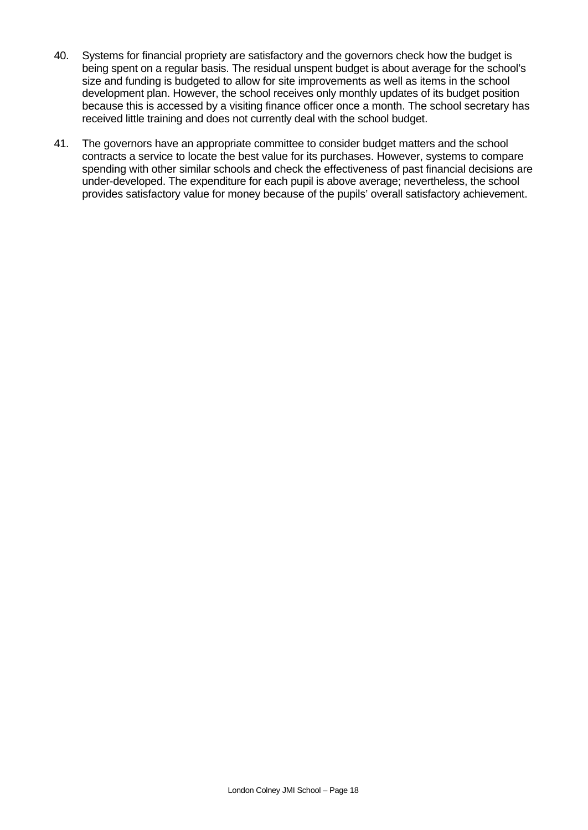- 40. Systems for financial propriety are satisfactory and the governors check how the budget is being spent on a regular basis. The residual unspent budget is about average for the school's size and funding is budgeted to allow for site improvements as well as items in the school development plan. However, the school receives only monthly updates of its budget position because this is accessed by a visiting finance officer once a month. The school secretary has received little training and does not currently deal with the school budget.
- 41. The governors have an appropriate committee to consider budget matters and the school contracts a service to locate the best value for its purchases. However, systems to compare spending with other similar schools and check the effectiveness of past financial decisions are under-developed. The expenditure for each pupil is above average; nevertheless, the school provides satisfactory value for money because of the pupils' overall satisfactory achievement.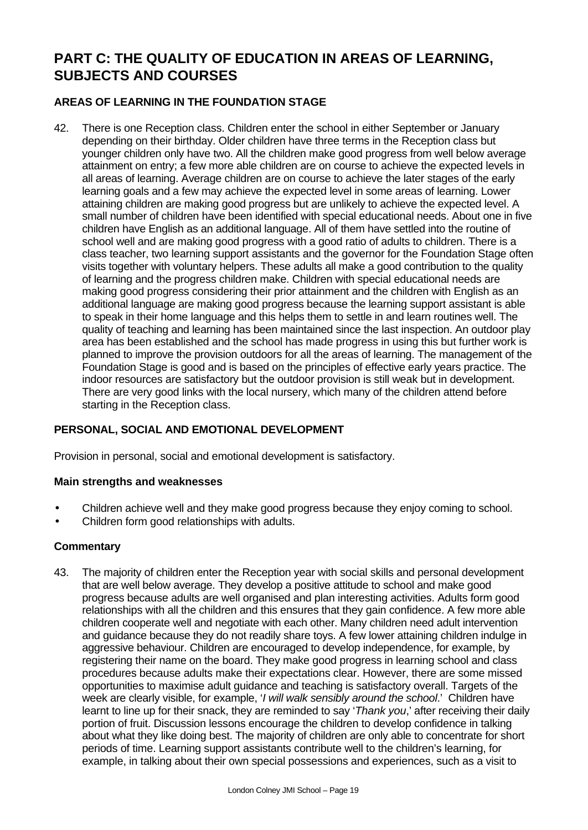# **PART C: THE QUALITY OF EDUCATION IN AREAS OF LEARNING, SUBJECTS AND COURSES**

# **AREAS OF LEARNING IN THE FOUNDATION STAGE**

42. There is one Reception class. Children enter the school in either September or January depending on their birthday. Older children have three terms in the Reception class but younger children only have two. All the children make good progress from well below average attainment on entry; a few more able children are on course to achieve the expected levels in all areas of learning. Average children are on course to achieve the later stages of the early learning goals and a few may achieve the expected level in some areas of learning. Lower attaining children are making good progress but are unlikely to achieve the expected level. A small number of children have been identified with special educational needs. About one in five children have English as an additional language. All of them have settled into the routine of school well and are making good progress with a good ratio of adults to children. There is a class teacher, two learning support assistants and the governor for the Foundation Stage often visits together with voluntary helpers. These adults all make a good contribution to the quality of learning and the progress children make. Children with special educational needs are making good progress considering their prior attainment and the children with English as an additional language are making good progress because the learning support assistant is able to speak in their home language and this helps them to settle in and learn routines well. The quality of teaching and learning has been maintained since the last inspection. An outdoor play area has been established and the school has made progress in using this but further work is planned to improve the provision outdoors for all the areas of learning. The management of the Foundation Stage is good and is based on the principles of effective early years practice. The indoor resources are satisfactory but the outdoor provision is still weak but in development. There are very good links with the local nursery, which many of the children attend before starting in the Reception class.

# **PERSONAL, SOCIAL AND EMOTIONAL DEVELOPMENT**

Provision in personal, social and emotional development is satisfactory.

#### **Main strengths and weaknesses**

- Children achieve well and they make good progress because they enjoy coming to school.
- Children form good relationships with adults.

# **Commentary**

43. The majority of children enter the Reception year with social skills and personal development that are well below average. They develop a positive attitude to school and make good progress because adults are well organised and plan interesting activities. Adults form good relationships with all the children and this ensures that they gain confidence. A few more able children cooperate well and negotiate with each other. Many children need adult intervention and guidance because they do not readily share toys. A few lower attaining children indulge in aggressive behaviour. Children are encouraged to develop independence, for example, by registering their name on the board. They make good progress in learning school and class procedures because adults make their expectations clear. However, there are some missed opportunities to maximise adult guidance and teaching is satisfactory overall. Targets of the week are clearly visible, for example, '*I will walk sensibly around the school*.' Children have learnt to line up for their snack, they are reminded to say '*Thank you*,' after receiving their daily portion of fruit. Discussion lessons encourage the children to develop confidence in talking about what they like doing best. The majority of children are only able to concentrate for short periods of time. Learning support assistants contribute well to the children's learning, for example, in talking about their own special possessions and experiences, such as a visit to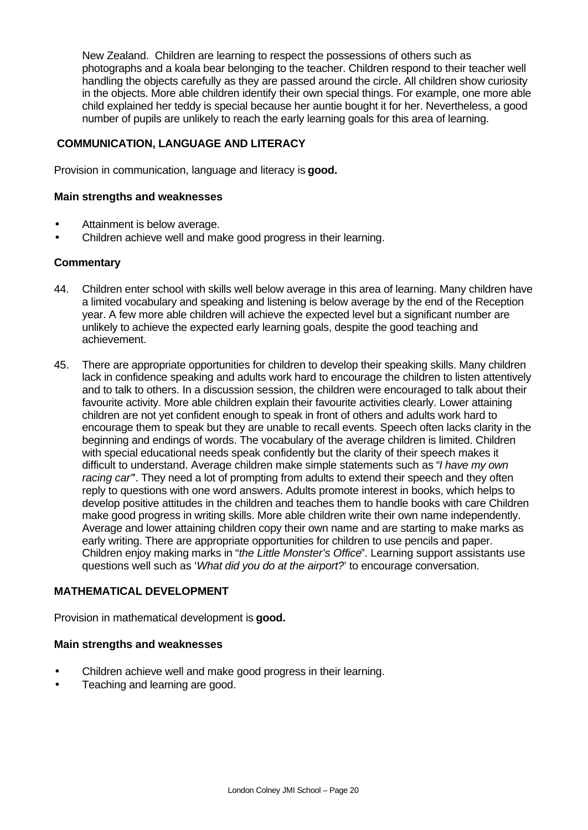New Zealand. Children are learning to respect the possessions of others such as photographs and a koala bear belonging to the teacher. Children respond to their teacher well handling the objects carefully as they are passed around the circle. All children show curiosity in the objects. More able children identify their own special things. For example, one more able child explained her teddy is special because her auntie bought it for her. Nevertheless, a good number of pupils are unlikely to reach the early learning goals for this area of learning.

# **COMMUNICATION, LANGUAGE AND LITERACY**

Provision in communication, language and literacy is **good.**

#### **Main strengths and weaknesses**

- Attainment is below average.
- Children achieve well and make good progress in their learning.

#### **Commentary**

- 44. Children enter school with skills well below average in this area of learning. Many children have a limited vocabulary and speaking and listening is below average by the end of the Reception year. A few more able children will achieve the expected level but a significant number are unlikely to achieve the expected early learning goals, despite the good teaching and achievement.
- 45. There are appropriate opportunities for children to develop their speaking skills. Many children lack in confidence speaking and adults work hard to encourage the children to listen attentively and to talk to others. In a discussion session, the children were encouraged to talk about their favourite activity. More able children explain their favourite activities clearly. Lower attaining children are not yet confident enough to speak in front of others and adults work hard to encourage them to speak but they are unable to recall events. Speech often lacks clarity in the beginning and endings of words. The vocabulary of the average children is limited. Children with special educational needs speak confidently but the clarity of their speech makes it difficult to understand. Average children make simple statements such as *"I have my own* racing car". They need a lot of prompting from adults to extend their speech and they often reply to questions with one word answers. Adults promote interest in books, which helps to develop positive attitudes in the children and teaches them to handle books with care Children make good progress in writing skills. More able children write their own name independently. Average and lower attaining children copy their own name and are starting to make marks as early writing. There are appropriate opportunities for children to use pencils and paper. Children enjoy making marks in "*the Little Monster's Office*". Learning support assistants use questions well such as '*What did you do at the airport?*' to encourage conversation.

# **MATHEMATICAL DEVELOPMENT**

Provision in mathematical development is **good.**

#### **Main strengths and weaknesses**

- Children achieve well and make good progress in their learning.
- Teaching and learning are good.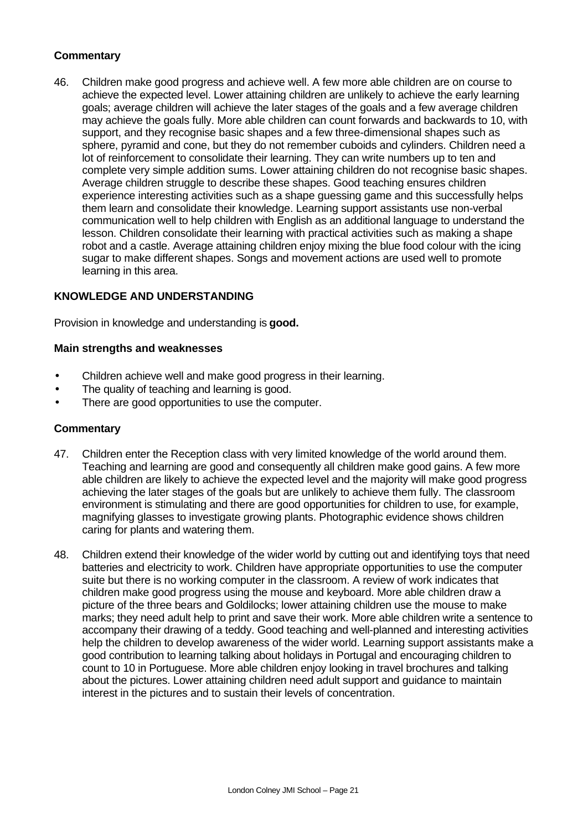# **Commentary**

46. Children make good progress and achieve well. A few more able children are on course to achieve the expected level. Lower attaining children are unlikely to achieve the early learning goals; average children will achieve the later stages of the goals and a few average children may achieve the goals fully. More able children can count forwards and backwards to 10, with support, and they recognise basic shapes and a few three-dimensional shapes such as sphere, pyramid and cone, but they do not remember cuboids and cylinders. Children need a lot of reinforcement to consolidate their learning. They can write numbers up to ten and complete very simple addition sums. Lower attaining children do not recognise basic shapes. Average children struggle to describe these shapes. Good teaching ensures children experience interesting activities such as a shape guessing game and this successfully helps them learn and consolidate their knowledge. Learning support assistants use non-verbal communication well to help children with English as an additional language to understand the lesson. Children consolidate their learning with practical activities such as making a shape robot and a castle. Average attaining children enjoy mixing the blue food colour with the icing sugar to make different shapes. Songs and movement actions are used well to promote learning in this area.

# **KNOWLEDGE AND UNDERSTANDING**

Provision in knowledge and understanding is **good.**

#### **Main strengths and weaknesses**

- Children achieve well and make good progress in their learning.
- The quality of teaching and learning is good.
- There are good opportunities to use the computer.

- 47. Children enter the Reception class with very limited knowledge of the world around them. Teaching and learning are good and consequently all children make good gains. A few more able children are likely to achieve the expected level and the majority will make good progress achieving the later stages of the goals but are unlikely to achieve them fully. The classroom environment is stimulating and there are good opportunities for children to use, for example, magnifying glasses to investigate growing plants. Photographic evidence shows children caring for plants and watering them.
- 48. Children extend their knowledge of the wider world by cutting out and identifying toys that need batteries and electricity to work. Children have appropriate opportunities to use the computer suite but there is no working computer in the classroom. A review of work indicates that children make good progress using the mouse and keyboard. More able children draw a picture of the three bears and Goldilocks; lower attaining children use the mouse to make marks; they need adult help to print and save their work. More able children write a sentence to accompany their drawing of a teddy. Good teaching and well-planned and interesting activities help the children to develop awareness of the wider world. Learning support assistants make a good contribution to learning talking about holidays in Portugal and encouraging children to count to 10 in Portuguese. More able children enjoy looking in travel brochures and talking about the pictures. Lower attaining children need adult support and guidance to maintain interest in the pictures and to sustain their levels of concentration.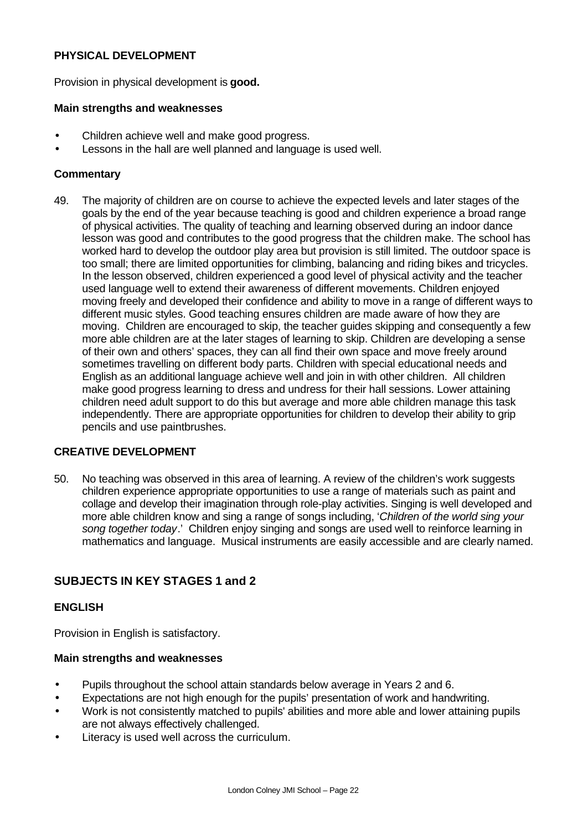# **PHYSICAL DEVELOPMENT**

Provision in physical development is **good.**

# **Main strengths and weaknesses**

- Children achieve well and make good progress.
- Lessons in the hall are well planned and language is used well.

# **Commentary**

49. The majority of children are on course to achieve the expected levels and later stages of the goals by the end of the year because teaching is good and children experience a broad range of physical activities. The quality of teaching and learning observed during an indoor dance lesson was good and contributes to the good progress that the children make. The school has worked hard to develop the outdoor play area but provision is still limited. The outdoor space is too small; there are limited opportunities for climbing, balancing and riding bikes and tricycles. In the lesson observed, children experienced a good level of physical activity and the teacher used language well to extend their awareness of different movements. Children enjoyed moving freely and developed their confidence and ability to move in a range of different ways to different music styles. Good teaching ensures children are made aware of how they are moving. Children are encouraged to skip, the teacher guides skipping and consequently a few more able children are at the later stages of learning to skip. Children are developing a sense of their own and others' spaces, they can all find their own space and move freely around sometimes travelling on different body parts. Children with special educational needs and English as an additional language achieve well and join in with other children. All children make good progress learning to dress and undress for their hall sessions. Lower attaining children need adult support to do this but average and more able children manage this task independently. There are appropriate opportunities for children to develop their ability to grip pencils and use paintbrushes.

# **CREATIVE DEVELOPMENT**

50. No teaching was observed in this area of learning. A review of the children's work suggests children experience appropriate opportunities to use a range of materials such as paint and collage and develop their imagination through role-play activities. Singing is well developed and more able children know and sing a range of songs including, '*Children of the world sing your song together today*.' Children enjoy singing and songs are used well to reinforce learning in mathematics and language. Musical instruments are easily accessible and are clearly named.

# **SUBJECTS IN KEY STAGES 1 and 2**

# **ENGLISH**

Provision in English is satisfactory.

# **Main strengths and weaknesses**

- Pupils throughout the school attain standards below average in Years 2 and 6.
- Expectations are not high enough for the pupils' presentation of work and handwriting.
- Work is not consistently matched to pupils' abilities and more able and lower attaining pupils are not always effectively challenged.
- Literacy is used well across the curriculum.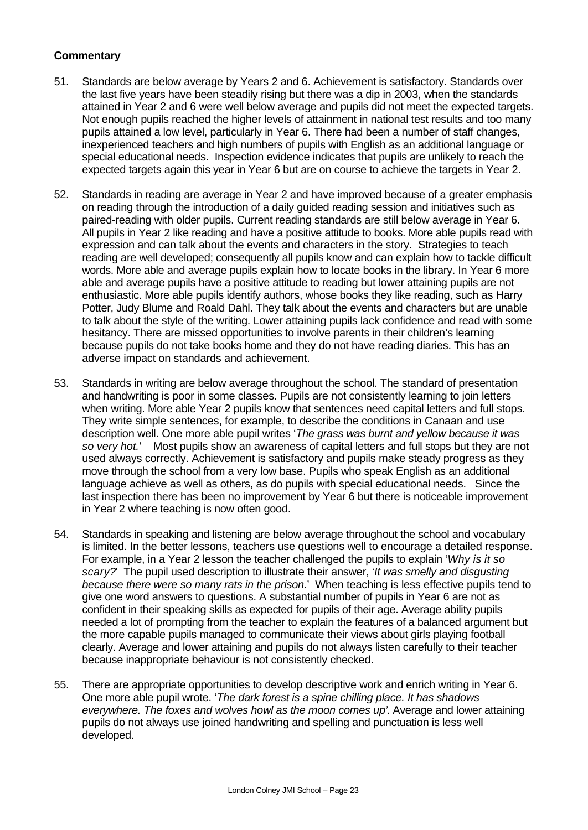- 51. Standards are below average by Years 2 and 6. Achievement is satisfactory. Standards over the last five years have been steadily rising but there was a dip in 2003, when the standards attained in Year 2 and 6 were well below average and pupils did not meet the expected targets. Not enough pupils reached the higher levels of attainment in national test results and too many pupils attained a low level, particularly in Year 6. There had been a number of staff changes, inexperienced teachers and high numbers of pupils with English as an additional language or special educational needs. Inspection evidence indicates that pupils are unlikely to reach the expected targets again this year in Year 6 but are on course to achieve the targets in Year 2.
- 52. Standards in reading are average in Year 2 and have improved because of a greater emphasis on reading through the introduction of a daily guided reading session and initiatives such as paired-reading with older pupils. Current reading standards are still below average in Year 6. All pupils in Year 2 like reading and have a positive attitude to books. More able pupils read with expression and can talk about the events and characters in the story. Strategies to teach reading are well developed; consequently all pupils know and can explain how to tackle difficult words. More able and average pupils explain how to locate books in the library. In Year 6 more able and average pupils have a positive attitude to reading but lower attaining pupils are not enthusiastic. More able pupils identify authors, whose books they like reading, such as Harry Potter, Judy Blume and Roald Dahl. They talk about the events and characters but are unable to talk about the style of the writing. Lower attaining pupils lack confidence and read with some hesitancy. There are missed opportunities to involve parents in their children's learning because pupils do not take books home and they do not have reading diaries. This has an adverse impact on standards and achievement.
- 53. Standards in writing are below average throughout the school. The standard of presentation and handwriting is poor in some classes. Pupils are not consistently learning to join letters when writing. More able Year 2 pupils know that sentences need capital letters and full stops. They write simple sentences, for example, to describe the conditions in Canaan and use description well. One more able pupil writes '*The grass was burnt and yellow because it was so very hot.*' Most pupils show an awareness of capital letters and full stops but they are not used always correctly. Achievement is satisfactory and pupils make steady progress as they move through the school from a very low base. Pupils who speak English as an additional language achieve as well as others, as do pupils with special educational needs. Since the last inspection there has been no improvement by Year 6 but there is noticeable improvement in Year 2 where teaching is now often good.
- 54. Standards in speaking and listening are below average throughout the school and vocabulary is limited. In the better lessons, teachers use questions well to encourage a detailed response. For example, in a Year 2 lesson the teacher challenged the pupils to explain '*Why is it so scary?*' The pupil used description to illustrate their answer, '*It was smelly and disgusting because there were so many rats in the prison*.' When teaching is less effective pupils tend to give one word answers to questions. A substantial number of pupils in Year 6 are not as confident in their speaking skills as expected for pupils of their age. Average ability pupils needed a lot of prompting from the teacher to explain the features of a balanced argument but the more capable pupils managed to communicate their views about girls playing football clearly. Average and lower attaining and pupils do not always listen carefully to their teacher because inappropriate behaviour is not consistently checked.
- 55. There are appropriate opportunities to develop descriptive work and enrich writing in Year 6. One more able pupil wrote. '*The dark forest is a spine chilling place. It has shadows everywhere. The foxes and wolves howl as the moon comes up'*. Average and lower attaining pupils do not always use joined handwriting and spelling and punctuation is less well developed.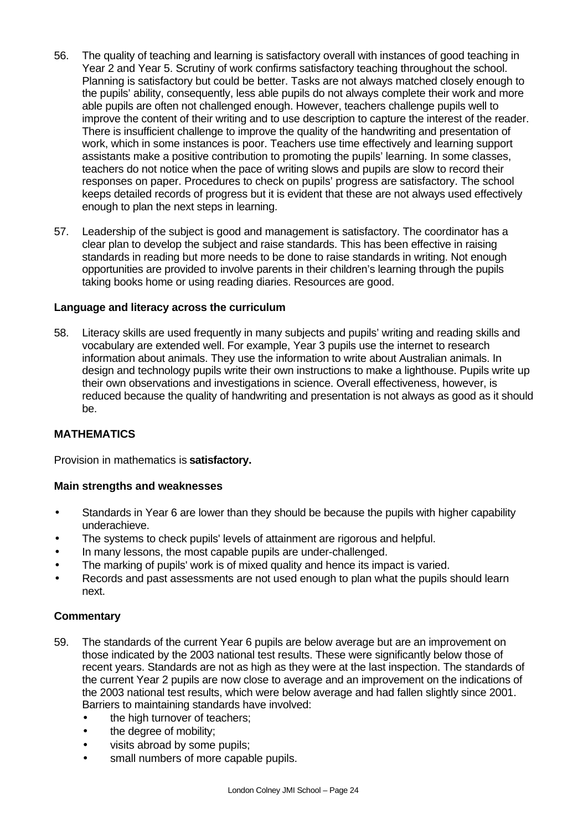- 56. The quality of teaching and learning is satisfactory overall with instances of good teaching in Year 2 and Year 5. Scrutiny of work confirms satisfactory teaching throughout the school. Planning is satisfactory but could be better. Tasks are not always matched closely enough to the pupils' ability, consequently, less able pupils do not always complete their work and more able pupils are often not challenged enough. However, teachers challenge pupils well to improve the content of their writing and to use description to capture the interest of the reader. There is insufficient challenge to improve the quality of the handwriting and presentation of work, which in some instances is poor. Teachers use time effectively and learning support assistants make a positive contribution to promoting the pupils' learning. In some classes, teachers do not notice when the pace of writing slows and pupils are slow to record their responses on paper. Procedures to check on pupils' progress are satisfactory. The school keeps detailed records of progress but it is evident that these are not always used effectively enough to plan the next steps in learning.
- 57. Leadership of the subject is good and management is satisfactory. The coordinator has a clear plan to develop the subject and raise standards. This has been effective in raising standards in reading but more needs to be done to raise standards in writing. Not enough opportunities are provided to involve parents in their children's learning through the pupils taking books home or using reading diaries. Resources are good.

# **Language and literacy across the curriculum**

58. Literacy skills are used frequently in many subjects and pupils' writing and reading skills and vocabulary are extended well. For example, Year 3 pupils use the internet to research information about animals. They use the information to write about Australian animals. In design and technology pupils write their own instructions to make a lighthouse. Pupils write up their own observations and investigations in science. Overall effectiveness, however, is reduced because the quality of handwriting and presentation is not always as good as it should be.

# **MATHEMATICS**

Provision in mathematics is **satisfactory.**

# **Main strengths and weaknesses**

- Standards in Year 6 are lower than they should be because the pupils with higher capability underachieve.
- The systems to check pupils' levels of attainment are rigorous and helpful.
- In many lessons, the most capable pupils are under-challenged.
- The marking of pupils' work is of mixed quality and hence its impact is varied.
- Records and past assessments are not used enough to plan what the pupils should learn next.

- 59. The standards of the current Year 6 pupils are below average but are an improvement on those indicated by the 2003 national test results. These were significantly below those of recent years. Standards are not as high as they were at the last inspection. The standards of the current Year 2 pupils are now close to average and an improvement on the indications of the 2003 national test results, which were below average and had fallen slightly since 2001. Barriers to maintaining standards have involved:
	- the high turnover of teachers;
	- the degree of mobility;
	- visits abroad by some pupils;
	- small numbers of more capable pupils.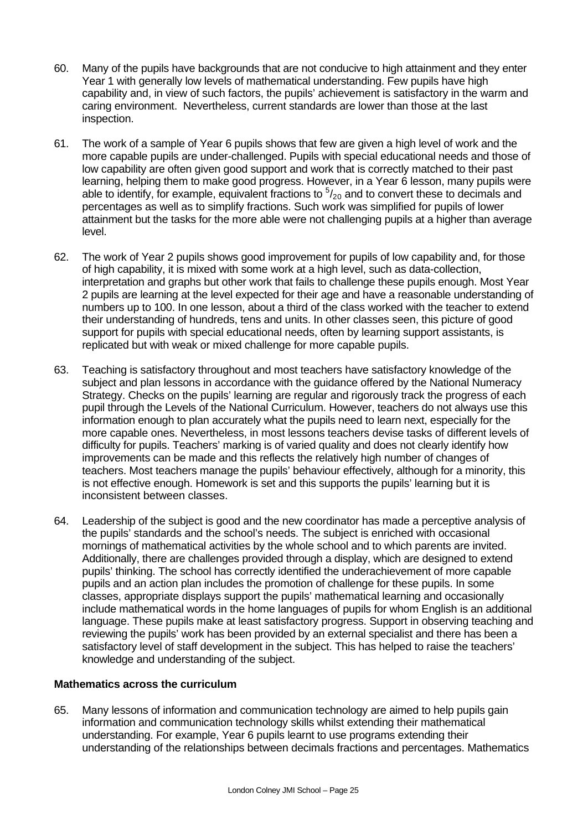- 60. Many of the pupils have backgrounds that are not conducive to high attainment and they enter Year 1 with generally low levels of mathematical understanding. Few pupils have high capability and, in view of such factors, the pupils' achievement is satisfactory in the warm and caring environment. Nevertheless, current standards are lower than those at the last inspection.
- 61. The work of a sample of Year 6 pupils shows that few are given a high level of work and the more capable pupils are under-challenged. Pupils with special educational needs and those of low capability are often given good support and work that is correctly matched to their past learning, helping them to make good progress. However, in a Year 6 lesson, many pupils were able to identify, for example, equivalent fractions to  $5/20$  and to convert these to decimals and percentages as well as to simplify fractions. Such work was simplified for pupils of lower attainment but the tasks for the more able were not challenging pupils at a higher than average level.
- 62. The work of Year 2 pupils shows good improvement for pupils of low capability and, for those of high capability, it is mixed with some work at a high level, such as data-collection, interpretation and graphs but other work that fails to challenge these pupils enough. Most Year 2 pupils are learning at the level expected for their age and have a reasonable understanding of numbers up to 100. In one lesson, about a third of the class worked with the teacher to extend their understanding of hundreds, tens and units. In other classes seen, this picture of good support for pupils with special educational needs, often by learning support assistants, is replicated but with weak or mixed challenge for more capable pupils.
- 63. Teaching is satisfactory throughout and most teachers have satisfactory knowledge of the subject and plan lessons in accordance with the guidance offered by the National Numeracy Strategy. Checks on the pupils' learning are regular and rigorously track the progress of each pupil through the Levels of the National Curriculum. However, teachers do not always use this information enough to plan accurately what the pupils need to learn next, especially for the more capable ones. Nevertheless, in most lessons teachers devise tasks of different levels of difficulty for pupils. Teachers' marking is of varied quality and does not clearly identify how improvements can be made and this reflects the relatively high number of changes of teachers. Most teachers manage the pupils' behaviour effectively, although for a minority, this is not effective enough. Homework is set and this supports the pupils' learning but it is inconsistent between classes.
- 64. Leadership of the subject is good and the new coordinator has made a perceptive analysis of the pupils' standards and the school's needs. The subject is enriched with occasional mornings of mathematical activities by the whole school and to which parents are invited. Additionally, there are challenges provided through a display, which are designed to extend pupils' thinking. The school has correctly identified the underachievement of more capable pupils and an action plan includes the promotion of challenge for these pupils. In some classes, appropriate displays support the pupils' mathematical learning and occasionally include mathematical words in the home languages of pupils for whom English is an additional language. These pupils make at least satisfactory progress. Support in observing teaching and reviewing the pupils' work has been provided by an external specialist and there has been a satisfactory level of staff development in the subject. This has helped to raise the teachers' knowledge and understanding of the subject.

# **Mathematics across the curriculum**

65. Many lessons of information and communication technology are aimed to help pupils gain information and communication technology skills whilst extending their mathematical understanding. For example, Year 6 pupils learnt to use programs extending their understanding of the relationships between decimals fractions and percentages. Mathematics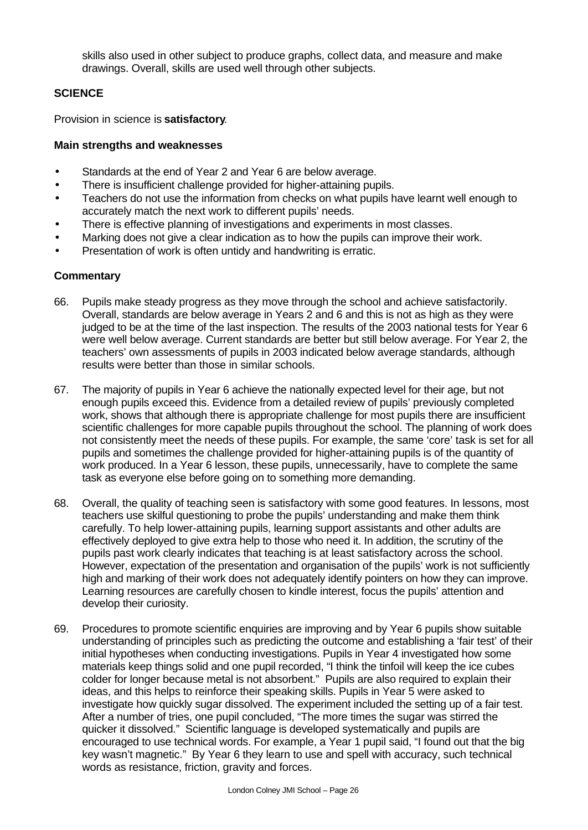skills also used in other subject to produce graphs, collect data, and measure and make drawings. Overall, skills are used well through other subjects.

# **SCIENCE**

Provision in science is **satisfactory**.

# **Main strengths and weaknesses**

- Standards at the end of Year 2 and Year 6 are below average.
- There is insufficient challenge provided for higher-attaining pupils.
- Teachers do not use the information from checks on what pupils have learnt well enough to accurately match the next work to different pupils' needs.
- There is effective planning of investigations and experiments in most classes.
- Marking does not give a clear indication as to how the pupils can improve their work.
- Presentation of work is often untidy and handwriting is erratic.

- 66. Pupils make steady progress as they move through the school and achieve satisfactorily. Overall, standards are below average in Years 2 and 6 and this is not as high as they were judged to be at the time of the last inspection. The results of the 2003 national tests for Year 6 were well below average. Current standards are better but still below average. For Year 2, the teachers' own assessments of pupils in 2003 indicated below average standards, although results were better than those in similar schools.
- 67. The majority of pupils in Year 6 achieve the nationally expected level for their age, but not enough pupils exceed this. Evidence from a detailed review of pupils' previously completed work, shows that although there is appropriate challenge for most pupils there are insufficient scientific challenges for more capable pupils throughout the school. The planning of work does not consistently meet the needs of these pupils. For example, the same 'core' task is set for all pupils and sometimes the challenge provided for higher-attaining pupils is of the quantity of work produced. In a Year 6 lesson, these pupils, unnecessarily, have to complete the same task as everyone else before going on to something more demanding.
- 68. Overall, the quality of teaching seen is satisfactory with some good features. In lessons, most teachers use skilful questioning to probe the pupils' understanding and make them think carefully. To help lower-attaining pupils, learning support assistants and other adults are effectively deployed to give extra help to those who need it. In addition, the scrutiny of the pupils past work clearly indicates that teaching is at least satisfactory across the school. However, expectation of the presentation and organisation of the pupils' work is not sufficiently high and marking of their work does not adequately identify pointers on how they can improve. Learning resources are carefully chosen to kindle interest, focus the pupils' attention and develop their curiosity.
- 69. Procedures to promote scientific enquiries are improving and by Year 6 pupils show suitable understanding of principles such as predicting the outcome and establishing a 'fair test' of their initial hypotheses when conducting investigations. Pupils in Year 4 investigated how some materials keep things solid and one pupil recorded, "I think the tinfoil will keep the ice cubes colder for longer because metal is not absorbent." Pupils are also required to explain their ideas, and this helps to reinforce their speaking skills. Pupils in Year 5 were asked to investigate how quickly sugar dissolved. The experiment included the setting up of a fair test. After a number of tries, one pupil concluded, "The more times the sugar was stirred the quicker it dissolved." Scientific language is developed systematically and pupils are encouraged to use technical words. For example, a Year 1 pupil said, "I found out that the big key wasn't magnetic." By Year 6 they learn to use and spell with accuracy, such technical words as resistance, friction, gravity and forces.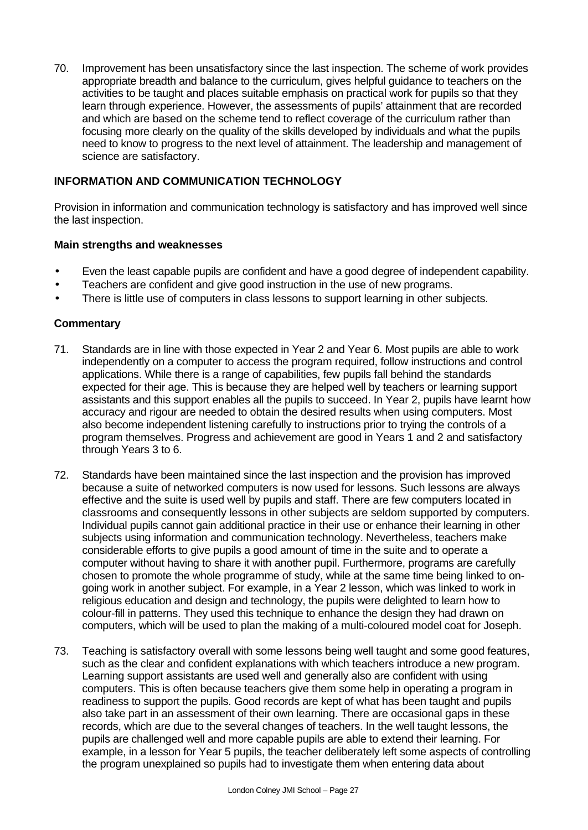70. Improvement has been unsatisfactory since the last inspection. The scheme of work provides appropriate breadth and balance to the curriculum, gives helpful guidance to teachers on the activities to be taught and places suitable emphasis on practical work for pupils so that they learn through experience. However, the assessments of pupils' attainment that are recorded and which are based on the scheme tend to reflect coverage of the curriculum rather than focusing more clearly on the quality of the skills developed by individuals and what the pupils need to know to progress to the next level of attainment. The leadership and management of science are satisfactory.

# **INFORMATION AND COMMUNICATION TECHNOLOGY**

Provision in information and communication technology is satisfactory and has improved well since the last inspection.

#### **Main strengths and weaknesses**

- Even the least capable pupils are confident and have a good degree of independent capability.
- Teachers are confident and give good instruction in the use of new programs.
- There is little use of computers in class lessons to support learning in other subjects.

- 71. Standards are in line with those expected in Year 2 and Year 6. Most pupils are able to work independently on a computer to access the program required, follow instructions and control applications. While there is a range of capabilities, few pupils fall behind the standards expected for their age. This is because they are helped well by teachers or learning support assistants and this support enables all the pupils to succeed. In Year 2, pupils have learnt how accuracy and rigour are needed to obtain the desired results when using computers. Most also become independent listening carefully to instructions prior to trying the controls of a program themselves. Progress and achievement are good in Years 1 and 2 and satisfactory through Years 3 to 6.
- 72. Standards have been maintained since the last inspection and the provision has improved because a suite of networked computers is now used for lessons. Such lessons are always effective and the suite is used well by pupils and staff. There are few computers located in classrooms and consequently lessons in other subjects are seldom supported by computers. Individual pupils cannot gain additional practice in their use or enhance their learning in other subjects using information and communication technology. Nevertheless, teachers make considerable efforts to give pupils a good amount of time in the suite and to operate a computer without having to share it with another pupil. Furthermore, programs are carefully chosen to promote the whole programme of study, while at the same time being linked to ongoing work in another subject. For example, in a Year 2 lesson, which was linked to work in religious education and design and technology, the pupils were delighted to learn how to colour-fill in patterns. They used this technique to enhance the design they had drawn on computers, which will be used to plan the making of a multi-coloured model coat for Joseph.
- 73. Teaching is satisfactory overall with some lessons being well taught and some good features, such as the clear and confident explanations with which teachers introduce a new program. Learning support assistants are used well and generally also are confident with using computers. This is often because teachers give them some help in operating a program in readiness to support the pupils. Good records are kept of what has been taught and pupils also take part in an assessment of their own learning. There are occasional gaps in these records, which are due to the several changes of teachers. In the well taught lessons, the pupils are challenged well and more capable pupils are able to extend their learning. For example, in a lesson for Year 5 pupils, the teacher deliberately left some aspects of controlling the program unexplained so pupils had to investigate them when entering data about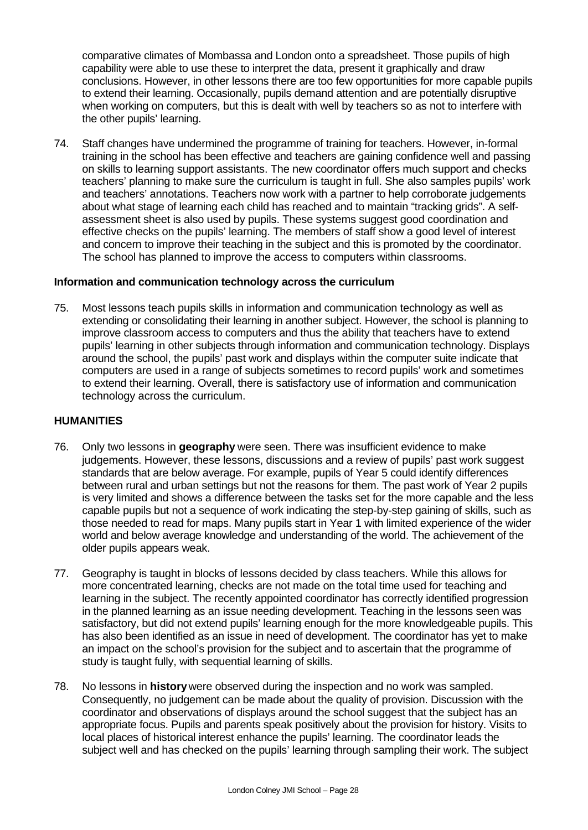comparative climates of Mombassa and London onto a spreadsheet. Those pupils of high capability were able to use these to interpret the data, present it graphically and draw conclusions. However, in other lessons there are too few opportunities for more capable pupils to extend their learning. Occasionally, pupils demand attention and are potentially disruptive when working on computers, but this is dealt with well by teachers so as not to interfere with the other pupils' learning.

74. Staff changes have undermined the programme of training for teachers. However, in-formal training in the school has been effective and teachers are gaining confidence well and passing on skills to learning support assistants. The new coordinator offers much support and checks teachers' planning to make sure the curriculum is taught in full. She also samples pupils' work and teachers' annotations. Teachers now work with a partner to help corroborate judgements about what stage of learning each child has reached and to maintain "tracking grids". A selfassessment sheet is also used by pupils. These systems suggest good coordination and effective checks on the pupils' learning. The members of staff show a good level of interest and concern to improve their teaching in the subject and this is promoted by the coordinator. The school has planned to improve the access to computers within classrooms.

#### **Information and communication technology across the curriculum**

75. Most lessons teach pupils skills in information and communication technology as well as extending or consolidating their learning in another subject. However, the school is planning to improve classroom access to computers and thus the ability that teachers have to extend pupils' learning in other subjects through information and communication technology. Displays around the school, the pupils' past work and displays within the computer suite indicate that computers are used in a range of subjects sometimes to record pupils' work and sometimes to extend their learning. Overall, there is satisfactory use of information and communication technology across the curriculum.

#### **HUMANITIES**

- 76. Only two lessons in **geography** were seen. There was insufficient evidence to make judgements. However, these lessons, discussions and a review of pupils' past work suggest standards that are below average. For example, pupils of Year 5 could identify differences between rural and urban settings but not the reasons for them. The past work of Year 2 pupils is very limited and shows a difference between the tasks set for the more capable and the less capable pupils but not a sequence of work indicating the step-by-step gaining of skills, such as those needed to read for maps. Many pupils start in Year 1 with limited experience of the wider world and below average knowledge and understanding of the world. The achievement of the older pupils appears weak.
- 77. Geography is taught in blocks of lessons decided by class teachers. While this allows for more concentrated learning, checks are not made on the total time used for teaching and learning in the subject. The recently appointed coordinator has correctly identified progression in the planned learning as an issue needing development. Teaching in the lessons seen was satisfactory, but did not extend pupils' learning enough for the more knowledgeable pupils. This has also been identified as an issue in need of development. The coordinator has yet to make an impact on the school's provision for the subject and to ascertain that the programme of study is taught fully, with sequential learning of skills.
- 78. No lessons in **history** were observed during the inspection and no work was sampled. Consequently, no judgement can be made about the quality of provision. Discussion with the coordinator and observations of displays around the school suggest that the subject has an appropriate focus. Pupils and parents speak positively about the provision for history. Visits to local places of historical interest enhance the pupils' learning. The coordinator leads the subject well and has checked on the pupils' learning through sampling their work. The subject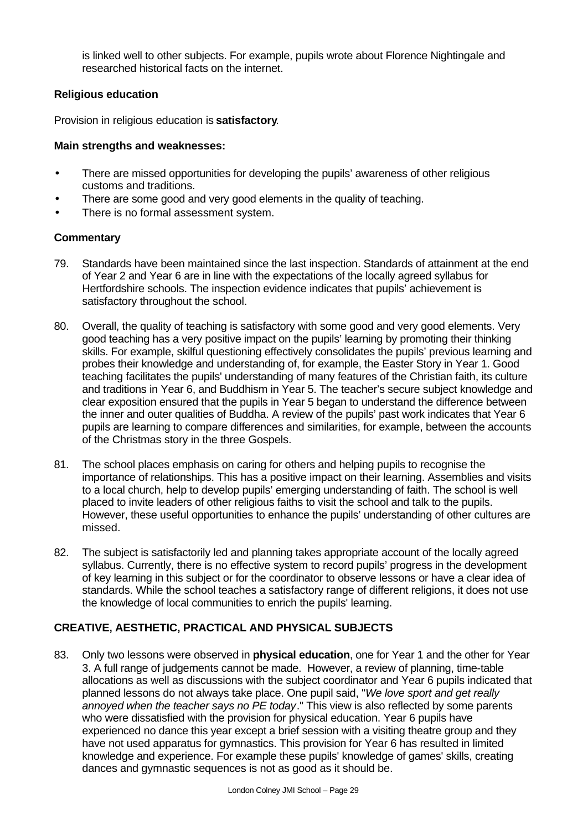is linked well to other subjects. For example, pupils wrote about Florence Nightingale and researched historical facts on the internet.

# **Religious education**

Provision in religious education is **satisfactory**.

# **Main strengths and weaknesses:**

- There are missed opportunities for developing the pupils' awareness of other religious customs and traditions.
- There are some good and very good elements in the quality of teaching.
- There is no formal assessment system.

# **Commentary**

- 79. Standards have been maintained since the last inspection. Standards of attainment at the end of Year 2 and Year 6 are in line with the expectations of the locally agreed syllabus for Hertfordshire schools. The inspection evidence indicates that pupils' achievement is satisfactory throughout the school.
- 80. Overall, the quality of teaching is satisfactory with some good and very good elements. Very good teaching has a very positive impact on the pupils' learning by promoting their thinking skills. For example, skilful questioning effectively consolidates the pupils' previous learning and probes their knowledge and understanding of, for example, the Easter Story in Year 1. Good teaching facilitates the pupils' understanding of many features of the Christian faith, its culture and traditions in Year 6, and Buddhism in Year 5. The teacher's secure subject knowledge and clear exposition ensured that the pupils in Year 5 began to understand the difference between the inner and outer qualities of Buddha. A review of the pupils' past work indicates that Year 6 pupils are learning to compare differences and similarities, for example, between the accounts of the Christmas story in the three Gospels.
- 81. The school places emphasis on caring for others and helping pupils to recognise the importance of relationships. This has a positive impact on their learning. Assemblies and visits to a local church, help to develop pupils' emerging understanding of faith. The school is well placed to invite leaders of other religious faiths to visit the school and talk to the pupils. However, these useful opportunities to enhance the pupils' understanding of other cultures are missed.
- 82. The subject is satisfactorily led and planning takes appropriate account of the locally agreed syllabus. Currently, there is no effective system to record pupils' progress in the development of key learning in this subject or for the coordinator to observe lessons or have a clear idea of standards. While the school teaches a satisfactory range of different religions, it does not use the knowledge of local communities to enrich the pupils' learning.

# **CREATIVE, AESTHETIC, PRACTICAL AND PHYSICAL SUBJECTS**

83. Only two lessons were observed in **physical education**, one for Year 1 and the other for Year 3. A full range of judgements cannot be made. However, a review of planning, time-table allocations as well as discussions with the subject coordinator and Year 6 pupils indicated that planned lessons do not always take place. One pupil said, "*We love sport and get really annoyed when the teacher says no PE today*." This view is also reflected by some parents who were dissatisfied with the provision for physical education. Year 6 pupils have experienced no dance this year except a brief session with a visiting theatre group and they have not used apparatus for gymnastics. This provision for Year 6 has resulted in limited knowledge and experience. For example these pupils' knowledge of games' skills, creating dances and gymnastic sequences is not as good as it should be.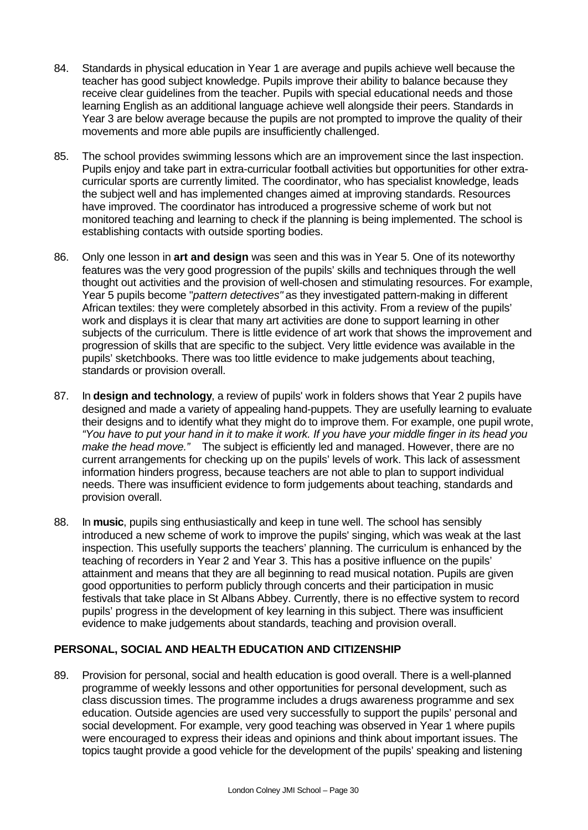- 84. Standards in physical education in Year 1 are average and pupils achieve well because the teacher has good subject knowledge. Pupils improve their ability to balance because they receive clear guidelines from the teacher. Pupils with special educational needs and those learning English as an additional language achieve well alongside their peers. Standards in Year 3 are below average because the pupils are not prompted to improve the quality of their movements and more able pupils are insufficiently challenged.
- 85. The school provides swimming lessons which are an improvement since the last inspection. Pupils enjoy and take part in extra-curricular football activities but opportunities for other extracurricular sports are currently limited. The coordinator, who has specialist knowledge, leads the subject well and has implemented changes aimed at improving standards. Resources have improved. The coordinator has introduced a progressive scheme of work but not monitored teaching and learning to check if the planning is being implemented. The school is establishing contacts with outside sporting bodies.
- 86. Only one lesson in **art and design** was seen and this was in Year 5. One of its noteworthy features was the very good progression of the pupils' skills and techniques through the well thought out activities and the provision of well-chosen and stimulating resources. For example, Year 5 pupils become "*pattern detectives"* as they investigated pattern-making in different African textiles: they were completely absorbed in this activity. From a review of the pupils' work and displays it is clear that many art activities are done to support learning in other subjects of the curriculum. There is little evidence of art work that shows the improvement and progression of skills that are specific to the subject. Very little evidence was available in the pupils' sketchbooks. There was too little evidence to make judgements about teaching, standards or provision overall.
- 87. In **design and technology**, a review of pupils' work in folders shows that Year 2 pupils have designed and made a variety of appealing hand-puppets. They are usefully learning to evaluate their designs and to identify what they might do to improve them. For example, one pupil wrote, *"You have to put your hand in it to make it work. If you have your middle finger in its head you make the head move."* The subject is efficiently led and managed. However, there are no current arrangements for checking up on the pupils' levels of work. This lack of assessment information hinders progress, because teachers are not able to plan to support individual needs. There was insufficient evidence to form judgements about teaching, standards and provision overall.
- 88. In **music**, pupils sing enthusiastically and keep in tune well. The school has sensibly introduced a new scheme of work to improve the pupils' singing, which was weak at the last inspection. This usefully supports the teachers' planning. The curriculum is enhanced by the teaching of recorders in Year 2 and Year 3. This has a positive influence on the pupils' attainment and means that they are all beginning to read musical notation. Pupils are given good opportunities to perform publicly through concerts and their participation in music festivals that take place in St Albans Abbey. Currently, there is no effective system to record pupils' progress in the development of key learning in this subject. There was insufficient evidence to make judgements about standards, teaching and provision overall.

# **PERSONAL, SOCIAL AND HEALTH EDUCATION AND CITIZENSHIP**

89. Provision for personal, social and health education is good overall. There is a well-planned programme of weekly lessons and other opportunities for personal development, such as class discussion times. The programme includes a drugs awareness programme and sex education. Outside agencies are used very successfully to support the pupils' personal and social development. For example, very good teaching was observed in Year 1 where pupils were encouraged to express their ideas and opinions and think about important issues. The topics taught provide a good vehicle for the development of the pupils' speaking and listening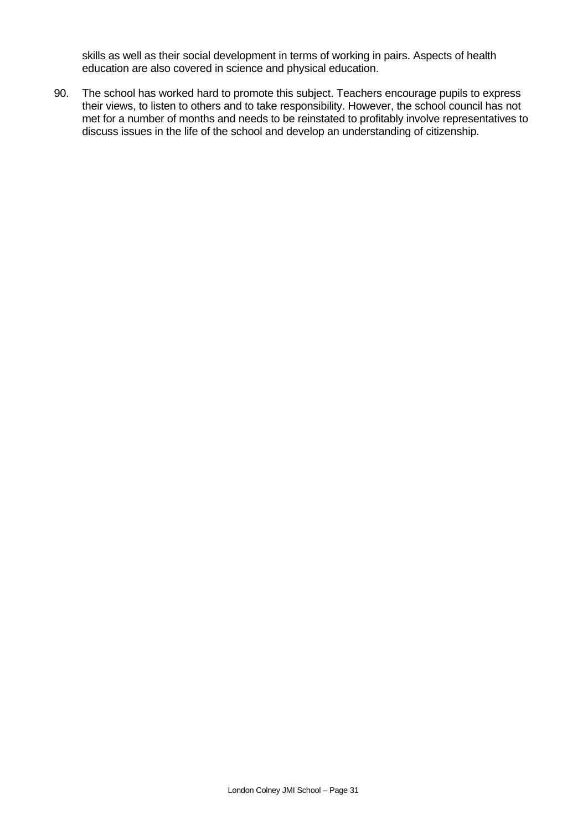skills as well as their social development in terms of working in pairs. Aspects of health education are also covered in science and physical education.

90. The school has worked hard to promote this subject. Teachers encourage pupils to express their views, to listen to others and to take responsibility. However, the school council has not met for a number of months and needs to be reinstated to profitably involve representatives to discuss issues in the life of the school and develop an understanding of citizenship.